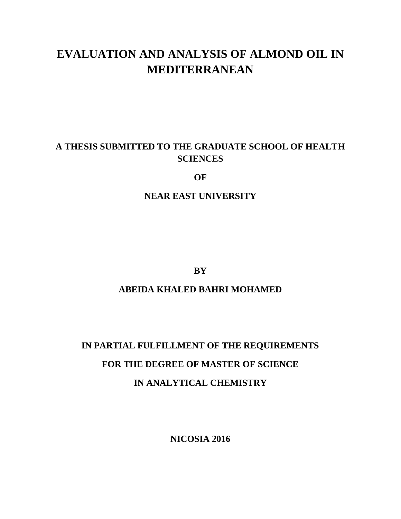# **EVALUATION AND ANALYSIS OF ALMOND OIL IN MEDITERRANEAN**

# **A THESIS SUBMITTED TO THE GRADUATE SCHOOL OF HEALTH SCIENCES**

**OF**

**NEAR EAST UNIVERSITY**

**BY**

# **ABEIDA KHALED BAHRI MOHAMED**

# **IN PARTIAL FULFILLMENT OF THE REQUIREMENTS FOR THE DEGREE OF MASTER OF SCIENCE IN ANALYTICAL CHEMISTRY**

**NICOSIA 2016**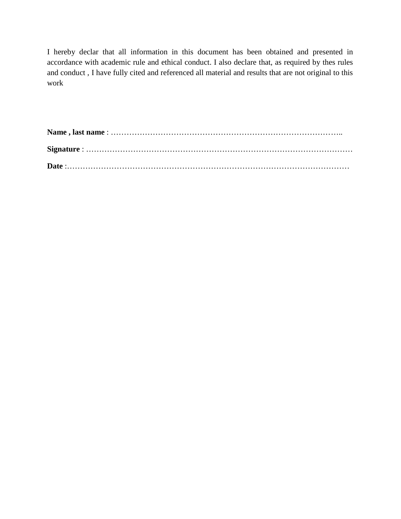I hereby declar that all information in this document has been obtained and presented in accordance with academic rule and ethical conduct. I also declare that, as required by thes rules and conduct , I have fully cited and referenced all material and results that are not original to this work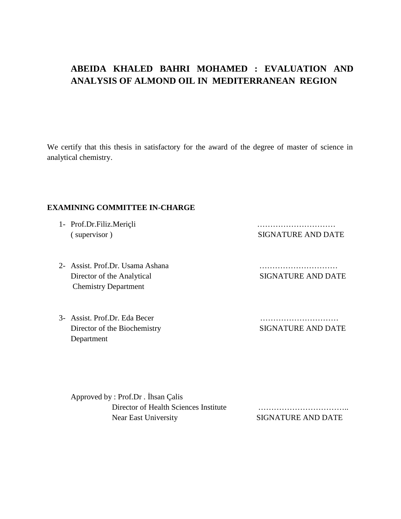# **ABEIDA KHALED BAHRI MOHAMED : EVALUATION AND ANALYSIS OF ALMOND OIL IN MEDITERRANEAN REGION**

We certify that this thesis in satisfactory for the award of the degree of master of science in analytical chemistry.

#### **EXAMINING COMMITTEE IN-CHARGE**

1- Prof.Dr.Filiz.Meriçli ………………………… ( supervisor ) SIGNATURE AND DATE

- 2- Assist. Prof.Dr. Usama Ashana ………………………… Director of the Analytical SIGNATURE AND DATE Chemistry Department
- 3- Assist. Prof.Dr. Eda Becer Director of the Biochemistry Department

| <b>SIGNATURE AND DATE</b> |  |  |  |  |  |  |  |  |  |  |  |  |  |  |  |  |  |  |  |  |  |  |  |  |  |  |  |  |
|---------------------------|--|--|--|--|--|--|--|--|--|--|--|--|--|--|--|--|--|--|--|--|--|--|--|--|--|--|--|--|

Approved by : Prof.Dr . İhsan Çalis Director of Health Sciences Institute …………………………….. Near East University SIGNATURE AND DATE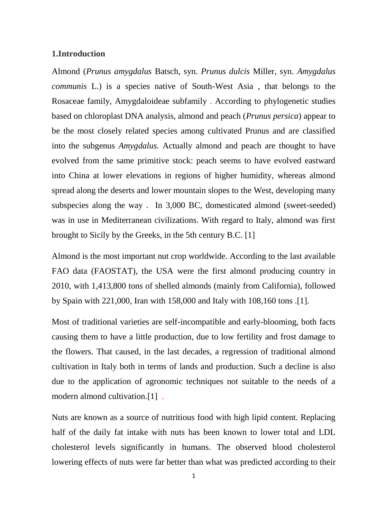#### **1.Introduction**

Almond (*Prunus amygdalus* Batsch, syn. *Prunus dulcis* Miller, syn. *Amygdalus communis* L.) is a species native of South-West Asia , that belongs to the Rosaceae family, Amygdaloideae subfamily . According to phylogenetic studies based on chloroplast DNA analysis, almond and peach (*Prunus persica*) appear to be the most closely related species among cultivated Prunus and are classified into the subgenus *Amygdalus.* Actually almond and peach are thought to have evolved from the same primitive stock: peach seems to have evolved eastward into China at lower elevations in regions of higher humidity, whereas almond spread along the deserts and lower mountain slopes to the West, developing many subspecies along the way . In 3,000 BC, domesticated almond (sweet-seeded) was in use in Mediterranean civilizations. With regard to Italy, almond was first brought to Sicily by the Greeks, in the 5th century B.C. [1]

Almond is the most important nut crop worldwide. According to the last available FAO data (FAOSTAT), the USA were the first almond producing country in 2010, with 1,413,800 tons of shelled almonds (mainly from California), followed by Spain with 221,000, Iran with 158,000 and Italy with 108,160 tons .[1].

Most of traditional varieties are self-incompatible and early-blooming, both facts causing them to have a little production, due to low fertility and frost damage to the flowers. That caused, in the last decades, a regression of traditional almond cultivation in Italy both in terms of lands and production. Such a decline is also due to the application of agronomic techniques not suitable to the needs of a modern almond cultivation.[1] .

Nuts are known as a source of nutritious food with high lipid content. Replacing half of the daily fat intake with nuts has been known to lower total and LDL cholesterol levels significantly in humans. The observed blood cholesterol lowering effects of nuts were far better than what was predicted according to their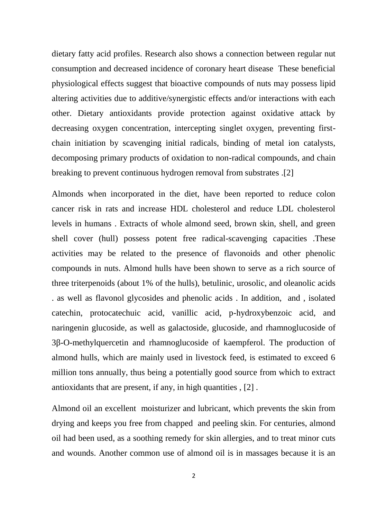dietary fatty acid profiles. Research also shows a connection between regular nut consumption and decreased incidence of coronary heart disease These beneficial physiological effects suggest that bioactive compounds of nuts may possess lipid altering activities due to additive/synergistic effects and/or interactions with each other. Dietary antioxidants provide protection against oxidative attack by decreasing oxygen concentration, intercepting singlet oxygen, preventing first chain initiation by scavenging initial radicals, binding of metal ion catalysts, decomposing primary products of oxidation to non-radical compounds, and chain breaking to prevent continuous hydrogen removal from substrates .[2]

Almonds when incorporated in the diet, have been reported to reduce colon cancer risk in rats and increase HDL cholesterol and reduce LDL cholesterol levels in humans . Extracts of whole almond seed, brown skin, shell, and green shell cover (hull) possess potent free radical-scavenging capacities .These activities may be related to the presence of flavonoids and other phenolic compounds in nuts. Almond hulls have been shown to serve as a rich source of three triterpenoids (about 1% of the hulls), betulinic, urosolic, and oleanolic acids . as well as flavonol glycosides and phenolic acids . In addition, and , isolated catechin, protocatechuic acid, vanillic acid, p-hydroxybenzoic acid, and naringenin glucoside, as well as galactoside, glucoside, and rhamnoglucoside of 3 -O-methylquercetin and rhamnoglucoside of kaempferol. The production of almond hulls, which are mainly used in livestock feed, is estimated to exceed 6 million tons annually, thus being a potentially good source from which to extract antioxidants that are present, if any, in high quantities , [2] .

Almond oil an excellent moisturizer and lubricant, which prevents the skin from drying and keeps you free from chapped and peeling skin. For centuries, almond oil had been used, as a soothing remedy for skin allergies, and to treat minor cuts and wounds. Another common use of almond oil is in massages because it is an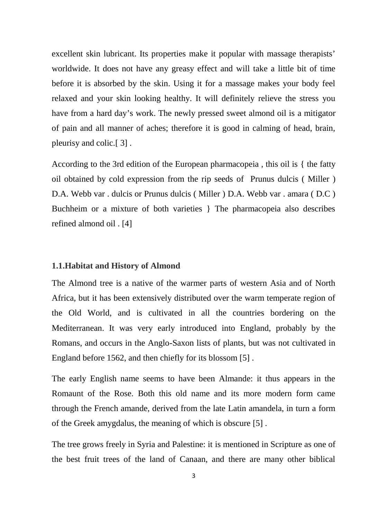excellent skin lubricant. Its properties make it popular with massage therapists' worldwide. It does not have any greasy effect and will take a little bit of time before it is absorbed by the skin. Using it for a massage makes your body feel relaxed and your skin looking healthy. It will definitely relieve the stress you have from a hard day's work. The newly pressed sweet almond oil is a mitigator of pain and all manner of aches; therefore it is good in calming of head, brain, pleurisy and colic.[ 3] .

According to the 3rd edition of the European pharmacopeia , this oil is { the fatty oil obtained by cold expression from the rip seeds of Prunus dulcis ( Miller ) D.A. Webb var . dulcis or Prunus dulcis ( Miller ) D.A. Webb var . amara ( D.C ) Buchheim or a mixture of both varieties } The pharmacopeia also describes refined almond oil . [4]

#### **1.1.Habitat and History of Almond**

The Almond tree is a native of the warmer parts of western Asia and of North Africa, but it has been extensively distributed over the warm temperate region of the Old World, and is cultivated in all the countries bordering on the Mediterranean. It was very early introduced into England, probably by the Romans, and occurs in the Anglo-Saxon lists of plants, but was not cultivated in England before 1562, and then chiefly for its blossom [5] .

The early English name seems to have been Almande: it thus appears in the Romaunt of the Rose. Both this old name and its more modern form came through the French amande, derived from the late Latin amandela, in turn a form of the Greek amygdalus, the meaning of which is obscure [5] .

The tree grows freely in Syria and Palestine: it is mentioned in Scripture as one of the best fruit trees of the land of Canaan, and there are many other biblical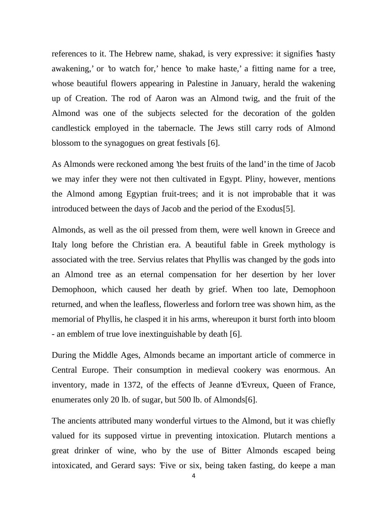references to it. The Hebrew name, shakad, is very expressive: it signifies 'hasty awakening,' or 'to watch for,' hence 'to make haste,' a fitting name for a tree, whose beautiful flowers appearing in Palestine in January, herald the wakening up of Creation. The rod of Aaron was an Almond twig, and the fruit of the Almond was one of the subjects selected for the decoration of the golden candlestick employed in the tabernacle. The Jews still carry rods of Almond blossom to the synagogues on great festivals [6].

As Almonds were reckoned among 'the best fruits of the land' in the time of Jacob we may infer they were not then cultivated in Egypt. Pliny, however, mentions the Almond among Egyptian fruit-trees; and it is not improbable that it was introduced between the days of Jacob and the period of the Exodus[5].

Almonds, as well as the oil pressed from them, were well known in Greece and Italy long before the Christian era. A beautiful fable in Greek mythology is associated with the tree. Servius relates that Phyllis was changed by the gods into an Almond tree as an eternal compensation for her desertion by her lover Demophoon, which caused her death by grief. When too late, Demophoon returned, and when the leafless, flowerless and forlorn tree was shown him, as the memorial of Phyllis, he clasped it in his arms, whereupon it burst forth into bloom - an emblem of true love inextinguishable by death [6].

During the Middle Ages, Almonds became an important article of commerce in Central Europe. Their consumption in medieval cookery was enormous. An inventory, made in 1372, of the effects of Jeanne d'Evreux, Queen of France, enumerates only 20 lb. of sugar, but 500 lb. of Almonds[6].

The ancients attributed many wonderful virtues to the Almond, but it was chiefly valued for its supposed virtue in preventing intoxication. Plutarch mentions a great drinker of wine, who by the use of Bitter Almonds escaped being intoxicated, and Gerard says: 'Five or six, being taken fasting, do keepe a man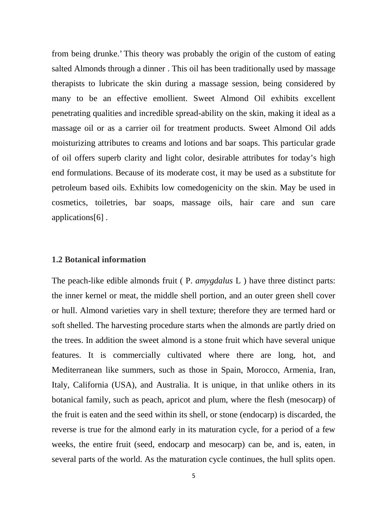from being drunke.' This theory was probably the origin of the custom of eating salted Almonds through a dinner . This oil has been traditionally used by massage therapists to lubricate the skin during a massage session, being considered by many to be an effective emollient. Sweet Almond Oil exhibits excellent penetrating qualities and incredible spread-ability on the skin, making it ideal as a massage oil or as a carrier oil for treatment products. Sweet Almond Oil adds moisturizing attributes to creams and lotions and bar soaps. This particular grade of oil offers superb clarity and light color, desirable attributes for today's high end formulations. Because of its moderate cost, it may be used as a substitute for petroleum based oils. Exhibits low comedogenicity on the skin. May be used in cosmetics, toiletries, bar soaps, massage oils, hair care and sun care applications[6] .

### **1.2 Botanical information**

The peach-like edible almonds fruit ( P. *amygdalus* L ) have three distinct parts: the inner kernel or meat, the middle shell portion, and an outer green shell cover or hull. Almond varieties vary in shell texture; therefore they are termed hard or soft shelled. The harvesting procedure starts when the almonds are partly dried on the trees. In addition the sweet almond is a stone fruit which have several unique features. It is commercially cultivated where there are long, hot, and Mediterranean like summers, such as those in Spain, Morocco, Armenia, Iran, Italy, California (USA), and Australia. It is unique, in that unlike others in its botanical family, such as peach, apricot and plum, where the flesh (mesocarp) of the fruit is eaten and the seed within its shell, or stone (endocarp) is discarded, the reverse is true for the almond early in its maturation cycle, for a period of a few weeks, the entire fruit (seed, endocarp and mesocarp) can be, and is, eaten, in several parts of the world. As the maturation cycle continues, the hull splits open.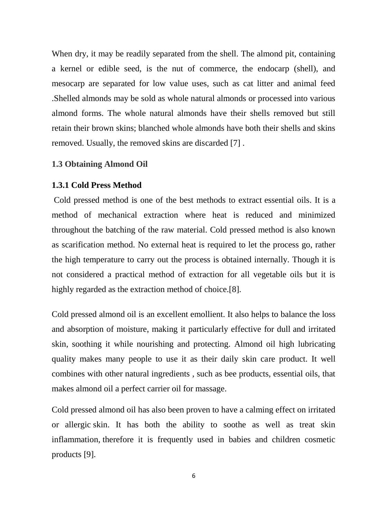When dry, it may be readily separated from the shell. The almond pit, containing a kernel or edible seed, is the nut of commerce, the endocarp (shell), and mesocarp are separated for low value uses, such as cat litter and animal feed .Shelled almonds may be sold as whole natural almonds or processed into various almond forms. The whole natural almonds have their shells removed but still retain their brown skins; blanched whole almonds have both their shells and skins removed. Usually, the removed skins are discarded [7] .

## **1.3 Obtaining Almond Oil**

## **1.3.1 Cold Press Method**

Cold pressed method is one of the best methods to extract essential oils. It is a method of mechanical extraction where heat is reduced and minimized throughout the batching of the raw material. Cold pressed method is also known as scarification method. No external heat is required to let the process go, rather the high temperature to carry out the process is obtained internally. Though it is not considered a practical method of extraction for all vegetable oils but it is highly regarded as the extraction method of choice.[8].

Cold pressed almond oil is an excellent emollient. It also helps to balance the loss and absorption of moisture, making it particularly effective for dull and irritated skin, soothing it while nourishing and protecting. Almond oil high lubricating quality makes many people to use it as their daily skin care product. It well combines with other natural ingredients , such as bee products, essential oils, that makes almond oil a perfect carrier oil for massage.

Cold pressed almond oil has also been proven to have a calming effect on irritated or allergic skin. It has both the ability to soothe as well as treat skin inflammation, therefore it is frequently used in babies and children cosmetic products [9].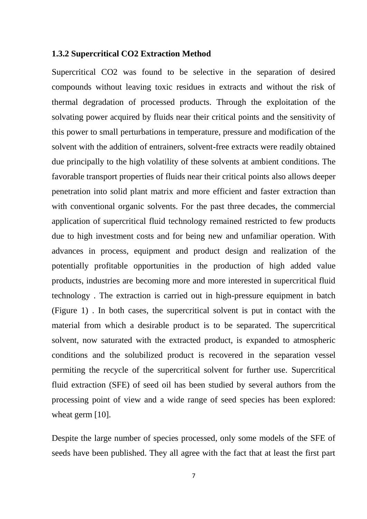#### **1.3.2 Supercritical CO2 Extraction Method**

Supercritical CO2 was found to be selective in the separation of desired compounds without leaving toxic residues in extracts and without the risk of thermal degradation of processed products. Through the exploitation of the solvating power acquired by fluids near their critical points and the sensitivity of this power to small perturbations in temperature, pressure and modification of the solvent with the addition of entrainers, solvent-free extracts were readily obtained due principally to the high volatility of these solvents at ambient conditions. The favorable transport properties of fluids near their critical points also allows deeper penetration into solid plant matrix and more efficient and faster extraction than with conventional organic solvents. For the past three decades, the commercial application of supercritical fluid technology remained restricted to few products due to high investment costs and for being new and unfamiliar operation. With advances in process, equipment and product design and realization of the potentially profitable opportunities in the production of high added value products, industries are becoming more and more interested in supercritical fluid technology . The extraction is carried out in high-pressure equipment in batch (Figure 1) . In both cases, the supercritical solvent is put in contact with the material from which a desirable product is to be separated. The supercritical solvent, now saturated with the extracted product, is expanded to atmospheric conditions and the solubilized product is recovered in the separation vessel permiting the recycle of the supercritical solvent for further use. Supercritical fluid extraction (SFE) of seed oil has been studied by several authors from the processing point of view and a wide range of seed species has been explored: wheat germ [10].

Despite the large number of species processed, only some models of the SFE of seeds have been published. They all agree with the fact that at least the first part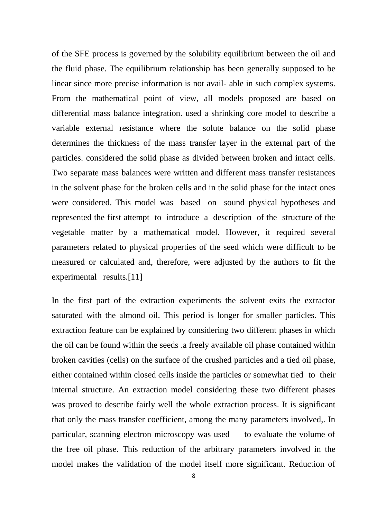of the SFE process is governed by the solubility equilibrium between the oil and the fluid phase. The equilibrium relationship has been generally supposed to be linear since more precise information is not avail- able in such complex systems. From the mathematical point of view, all models proposed are based on differential mass balance integration. used a shrinking core model to describe a variable external resistance where the solute balance on the solid phase determines the thickness of the mass transfer layer in the external part of the particles. considered the solid phase as divided between broken and intact cells. Two separate mass balances were written and different mass transfer resistances in the solvent phase for the broken cells and in the solid phase for the intact ones were considered. This model was based on sound physical hypotheses and represented the first attempt to introduce a description of the structure of the vegetable matter by a mathematical model. However, it required several parameters related to physical properties of the seed which were difficult to be measured or calculated and, therefore, were adjusted by the authors to fit the experimental results.<sup>[11]</sup>

In the first part of the extraction experiments the solvent exits the extractor saturated with the almond oil. This period is longer for smaller particles. This extraction feature can be explained by considering two different phases in which the oil can be found within the seeds .a freely available oil phase contained within broken cavities (cells) on the surface of the crushed particles and a tied oil phase, either contained within closed cells inside the particles or somewhat tied to their internal structure. An extraction model considering these two different phases was proved to describe fairly well the whole extraction process. It is significant that only the mass transfer coefficient, among the many parameters involved,. In particular, scanning electron microscopy was used to evaluate the volume of the free oil phase. This reduction of the arbitrary parameters involved in the model makes the validation of the model itself more significant. Reduction of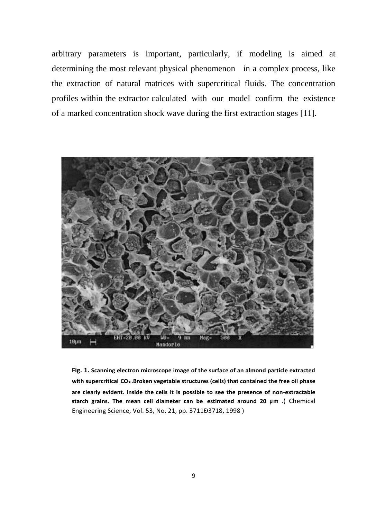arbitrary parameters is important, particularly, if modeling is aimed at determining the most relevant physical phenomenon in a complex process, like the extraction of natural matrices with supercritical fluids. The concentration profiles within the extractor calculated with our model confirm the existence of a marked concentration shock wave during the first extraction stages [11].



**Fig. 1. Scanning electron microscope image of the surface of an almond particle extracted with supercritical CO\* .Broken vegetable structures (cells) that contained the free oil phase are clearly evident. Inside the cells it is possible to see the presence of non-extractable starch grains. The mean cell diameter can be estimated around 20 µm** .( Chemical Engineering Science, Vol. 53, No. 21, pp. 3711Ð3718, 1998 )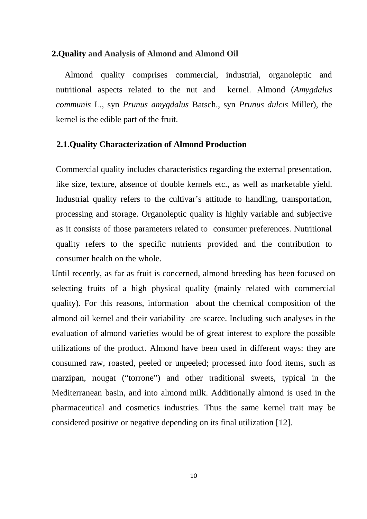#### **2.Quality and Analysis of Almond and Almond Oil**

Almond quality comprises commercial, industrial, organoleptic and nutritional aspects related to the nut and kernel. Almond (*Amygdalus communis* L., syn *Prunus amygdalus* Batsch., syn *Prunus dulcis* Miller), the kernel is the edible part of the fruit.

#### **2.1.Quality Characterization of Almond Production**

Commercial quality includes characteristics regarding the external presentation, like size, texture, absence of double kernels etc., as well as marketable yield. Industrial quality refers to the cultivar's attitude to handling, transportation, processing and storage. Organoleptic quality is highly variable and subjective as it consists of those parameters related to consumer preferences. Nutritional quality refers to the specific nutrients provided and the contribution to consumer health on the whole.

Until recently, as far as fruit is concerned, almond breeding has been focused on selecting fruits of a high physical quality (mainly related with commercial quality). For this reasons, information about the chemical composition of the almond oil kernel and their variability are scarce. Including such analyses in the evaluation of almond varieties would be of great interest to explore the possible utilizations of the product. Almond have been used in different ways: they are consumed raw, roasted, peeled or unpeeled; processed into food items, such as marzipan, nougat ("torrone") and other traditional sweets, typical in the Mediterranean basin, and into almond milk. Additionally almond is used in the pharmaceutical and cosmetics industries. Thus the same kernel trait may be considered positive or negative depending on its final utilization [12].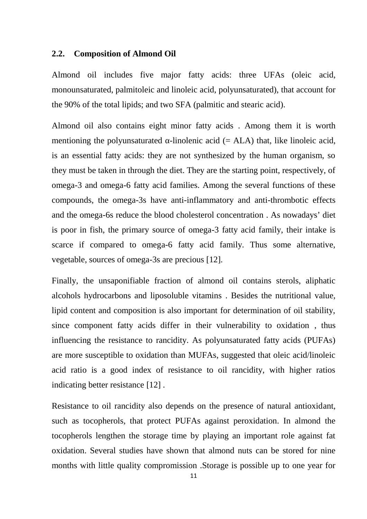#### **2.2. Composition of Almond Oil**

Almond oil includes five major fatty acids: three UFAs (oleic acid, monounsaturated, palmitoleic and linoleic acid, polyunsaturated), that account for the 90% of the total lipids; and two SFA (palmitic and stearic acid).

Almond oil also contains eight minor fatty acids . Among them it is worth mentioning the polyunsaturated -linolenic acid  $(= ALA)$  that, like linoleic acid, is an essential fatty acids: they are not synthesized by the human organism, so they must be taken in through the diet. They are the starting point, respectively, of omega-3 and omega-6 fatty acid families. Among the several functions of these compounds, the omega-3s have anti-inflammatory and anti-thrombotic effects and the omega-6s reduce the blood cholesterol concentration . As nowadays' diet is poor in fish, the primary source of omega-3 fatty acid family, their intake is scarce if compared to omega-6 fatty acid family. Thus some alternative, vegetable, sources of omega-3s are precious [12].

Finally, the unsaponifiable fraction of almond oil contains sterols, aliphatic alcohols hydrocarbons and liposoluble vitamins . Besides the nutritional value, lipid content and composition is also important for determination of oil stability, since component fatty acids differ in their vulnerability to oxidation , thus influencing the resistance to rancidity. As polyunsaturated fatty acids (PUFAs) are more susceptible to oxidation than MUFAs, suggested that oleic acid/linoleic acid ratio is a good index of resistance to oil rancidity, with higher ratios indicating better resistance [12] .

Resistance to oil rancidity also depends on the presence of natural antioxidant, such as tocopherols, that protect PUFAs against peroxidation. In almond the tocopherols lengthen the storage time by playing an important role against fat oxidation. Several studies have shown that almond nuts can be stored for nine months with little quality compromission .Storage is possible up to one year for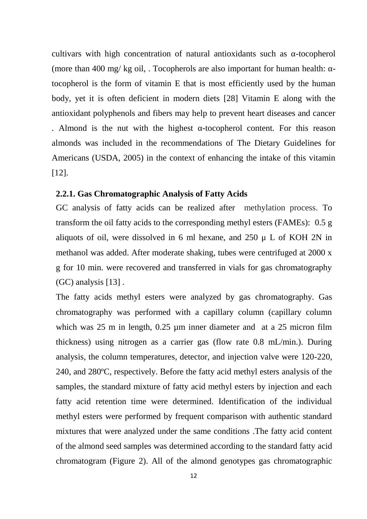cultivars with high concentration of natural antioxidants such as -tocopherol (more than 400 mg/ kg oil, . To copherols are also important for human health:  $-\frac{1}{2}$ tocopherol is the form of vitamin E that is most efficiently used by the human body, yet it is often deficient in modern diets [28] Vitamin E along with the antioxidant polyphenols and fibers may help to prevent heart diseases and cancer

. Almond is the nut with the highest -tocopherol content. For this reason almonds was included in the recommendations of The Dietary Guidelines for Americans (USDA, 2005) in the context of enhancing the intake of this vitamin [12].

### **2.2.1. Gas Chromatographic Analysis of Fatty Acids**

GC analysis of fatty acids can be realized after methylation process. To transform the oil fatty acids to the corresponding methyl esters (FAMEs): 0.5 g aliquots of oil, were dissolved in 6 ml hexane, and  $250 \mu$  L of KOH 2N in methanol was added. After moderate shaking, tubes were centrifuged at 2000 x g for 10 min. were recovered and transferred in vials for gas chromatography (GC) analysis [13] .

The fatty acids methyl esters were analyzed by gas chromatography. Gas chromatography was performed with a capillary column (capillary column which was 25 m in length, 0.25 µm inner diameter and at a 25 micron film thickness) using nitrogen as a carrier gas (flow rate 0.8 mL/min.). During analysis, the column temperatures, detector, and injection valve were 120-220, 240, and 280ºC, respectively. Before the fatty acid methyl esters analysis of the samples, the standard mixture of fatty acid methyl esters by injection and each fatty acid retention time were determined. Identification of the individual methyl esters were performed by frequent comparison with authentic standard mixtures that were analyzed under the same conditions .The fatty acid content of the almond seed samples was determined according to the standard fatty acid chromatogram (Figure 2). All of the almond genotypes gas chromatographic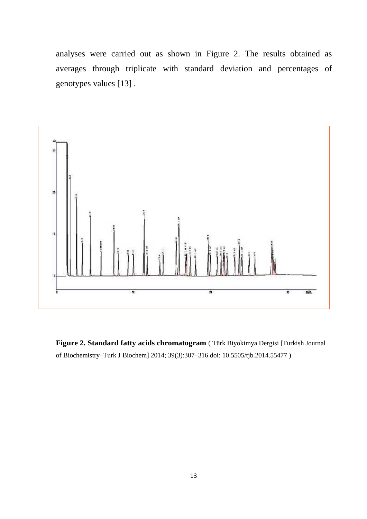analyses were carried out as shown in Figure 2. The results obtained as averages through triplicate with standard deviation and percentages of genotypes values [13] .



**Figure 2. Standard fatty acids chromatogram** ( Türk Biyokimya Dergisi [Turkish Journal of Biochemistry–Turk J Biochem] 2014; 39(3):307–316 doi: 10.5505/tjb.2014.55477 )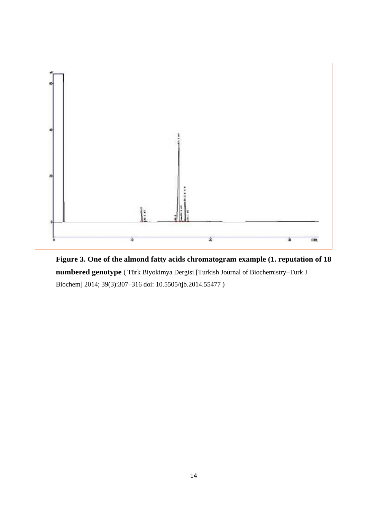

**Figure 3. One of the almond fatty acids chromatogram example (1. reputation of 18 numbered genotype** ( Türk Biyokimya Dergisi [Turkish Journal of Biochemistry–Turk J Biochem] 2014; 39(3):307–316 doi: 10.5505/tjb.2014.55477 )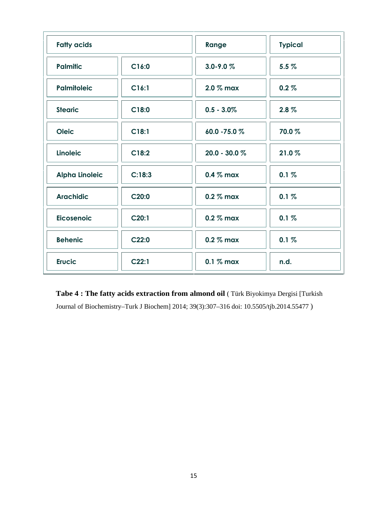| <b>Fatty acids</b>    |        | Range            | <b>Typical</b> |
|-----------------------|--------|------------------|----------------|
| <b>Palmitic</b>       | C16:0  | $3.0 - 9.0 %$    | 5.5%           |
| <b>Palmitoleic</b>    | C16:1  | 2.0 % max        | $0.2 \%$       |
| <b>Stearic</b>        | C18:0  | $0.5 - 3.0\%$    | $2.8 \%$       |
| <b>Oleic</b>          | C18:1  | 60.0 - 75.0 %    | 70.0%          |
| <b>Linoleic</b>       | C18:2  | $20.0 - 30.0 \%$ | 21.0%          |
| <b>Alpha Linoleic</b> | C:18:3 | $0.4\%$ max      | 0.1%           |
| <b>Arachidic</b>      | C20:0  | $0.2\%$ max      | 0.1%           |
| <b>Eicosenoic</b>     | C20:1  | $0.2\%$ max      | 0.1%           |
| <b>Behenic</b>        | C22:0  | 0.2 % max        | 0.1%           |
| <b>Erucic</b>         | C22:1  | $0.1$ % max      | n.d.           |

**Tabe 4 : The fatty acids extraction from almond oil** ( Türk Biyokimya Dergisi [Turkish Journal of Biochemistry–Turk J Biochem] 2014; 39(3):307–316 doi: 10.5505/tjb.2014.55477 )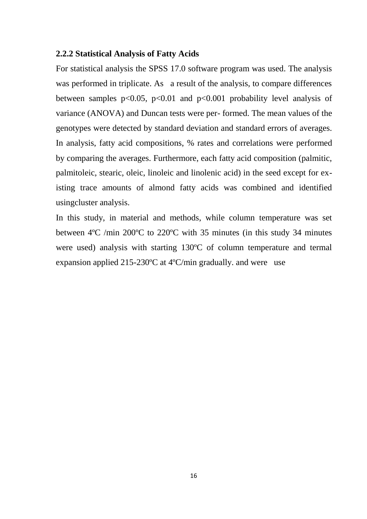## **2.2.2 Statistical Analysis of Fatty Acids**

For statistical analysis the SPSS 17.0 software program was used. The analysis was performed in triplicate. As a result of the analysis, to compare differences between samples  $p<0.05$ ,  $p<0.01$  and  $p<0.001$  probability level analysis of variance (ANOVA) and Duncan tests were per- formed. The mean values of the genotypes were detected by standard deviation and standard errors of averages. In analysis, fatty acid compositions, % rates and correlations were performed by comparing the averages. Furthermore, each fatty acid composition (palmitic, palmitoleic, stearic, oleic, linoleic and linolenic acid) in the seed except for existing trace amounts of almond fatty acids was combined and identified usingcluster analysis.

In this study, in material and methods, while column temperature was set between 4ºC /min 200ºC to 220ºC with 35 minutes (in this study 34 minutes were used) analysis with starting 130ºC of column temperature and termal expansion applied 215-230ºC at 4ºC/min gradually. and were use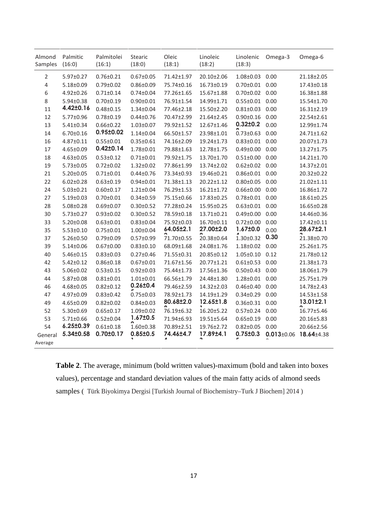| Almond<br>Samples  | Palmitic<br>(16:0) | Palmitolei<br>(16:1) | Stearic<br>(18:0) | Oleic<br>(18:1) | Linoleic<br>(18:2) | Linolenic<br>(18:3)  | Omega-3          | Omega-6          |
|--------------------|--------------------|----------------------|-------------------|-----------------|--------------------|----------------------|------------------|------------------|
| $\overline{2}$     | 5.97±0.27          | $0.76 \pm 0.21$      | $0.67 \pm 0.05$   | 71.42±1.97      | 20.10±2.06         | $1.08 \pm 0.03$ 0.00 |                  | 21.18±2.05       |
| 4                  | $5.18 \pm 0.09$    | $0.79 \pm 0.02$      | $0.86 \pm 0.09$   | 75.74±0.16      | 16.73±0.19         | $0.70 \pm 0.01$ 0.00 |                  | 17.43±0.18       |
| 6                  | $4.92 \pm 0.26$    | $0.71 \pm 0.14$      | $0.74 \pm 0.04$   | 77.26±1.65      | 15.67±1.88         | $0.70\pm0.02$ 0.00   |                  | 16.38±1.88       |
| 8                  | 5.94±0.38          | $0.70 \pm 0.19$      | $0.90 \pm 0.01$   | 76.91±1.54      | 14.99±1.71         | $0.55 \pm 0.01$      | 0.00             | 15.54±1.70       |
| 11                 | 4.42±0.16          | $0.48 + 0.15$        | $1.34 \pm 0.04$   | 77.46±2.18      | 15.50±2.20         | $0.81 \pm 0.03$      | 0.00             | $16.31 \pm 2.19$ |
| 12                 | 5.77±0.96          | $0.78 + 0.19$        | $0.44 \pm 0.76$   | 70.47±2.99      | 21.64±2.45         | $0.90 \pm 0.16$      | 0.00             | 22.54±2.61       |
| 13                 | $5.41 \pm 0.34$    | $0.66 \pm 0.22$      | $1.03 \pm 0.07$   | 79.92±1.52      | 12.67±1.46         | $0.32 \pm 0.2$       | 0.00             | 12.99±1.74       |
| 14                 | $6.70 \pm 0.16$    | $0.95 \pm 0.02$      | $1.14 \pm 0.04$   | 66.50±1.57      | 23.98±1.01         | $0.73 \pm 0.63$      | 0.00             | 24.71±1.62       |
| 16                 | $4.87 \pm 0.11$    | $0.55 \pm 0.01$      | $0.35 \pm 0.61$   | 74.16±2.09      | 19.24±1.73         | $0.83 \pm 0.01$      | 0.00             | 20.07±1.73       |
| 17                 | 4.65±0.09          | $0.42 \pm 0.14$      | $1.78 + 0.01$     | 79.88±1.63      | 12.78±1.75         | $0.49 \pm 0.00$      | 0.00             | 13.27±1.75       |
| 18                 | $4.63 \pm 0.05$    | $0.53 \pm 0.12$      | $0.71 \pm 0.01$   | 79.92±1.75      | 13.70±1.70         | $0.51 \pm 0.00$      | 0.00             | $14.21 \pm 1.70$ |
| 19                 | $5.73 \pm 0.05$    | $0.72 \pm 0.02$      | $1.32 \pm 0.02$   | 77.86±1.99      | 13.74±2.02         | $0.62 \pm 0.02$ 0.00 |                  | 14.37±2.01       |
| 21                 | $5.20 \pm 0.05$    | $0.71 \pm 0.01$      | $0.44 \pm 0.76$   | 73.34±0.93      | 19.46±0.21         | $0.86 \pm 0.01$ 0.00 |                  | 20.32±0.22       |
| 22                 | $6.02 \pm 0.28$    | $0.63 \pm 0.19$      | $0.94 \pm 0.01$   | 71.38±1.13      | 20.22±1.12         | $0.80 \pm 0.05$      | 0.00             | 21.02±1.11       |
| 24                 | $5.03 \pm 0.21$    | $0.60 \pm 0.17$      | $1.21 \pm 0.04$   | 76.29±1.53      | $16.21 \pm 1.72$   | $0.66 \pm 0.00$ 0.00 |                  | 16.86±1.72       |
| 27                 | $5.19 \pm 0.03$    | $0.70 \pm 0.01$      | $0.34 \pm 0.59$   | 75.15±0.66      | 17.83±0.25         | $0.78 \pm 0.01$ 0.00 |                  | 18.61±0.25       |
| 28                 | $5.08 \pm 0.28$    | $0.69 \pm 0.07$      | $0.30 \pm 0.52$   | 77.28±0.24      | 15.95±0.25         | $0.63 \pm 0.01$      | 0.00             | 16.65±0.28       |
| 30                 | $5.73 \pm 0.27$    | $0.93 \pm 0.02$      | $0.30 \pm 0.52$   | 78.59±0.18      | 13.71±0.21         | $0.49 \pm 0.00$      | 0.00             | 14.46±0.36       |
| 33                 | $5.20 \pm 0.08$    | $0.63 \pm 0.01$      | $0.83 \pm 0.04$   | 75.92±0.03      | 16.70±0.11         | $0.72 \pm 0.00$      | 0.00             | 17.42±0.11       |
| 35                 | $5.53 \pm 0.10$    | $0.75 \pm 0.01$      | $1.00 \pm 0.04$   | 64.05±2.1       | 27.00±2.0          | 1.67±0.0             | 0.00             | 28.67±2.1        |
| 37                 | $5.26 \pm 0.50$    | $0.79 \pm 0.09$      | $0.57 \pm 0.99$   | 71.70±0.55      | 20.38±0.64         | $1.30 \pm 0.32$      | 0.30             | 21.38±0.70       |
| 39                 | $5.14 \pm 0.06$    | $0.67 \pm 0.00$      | $0.83 \pm 0.10$   | 68.09±1.68      | 24.08±1.76         | $1.18 \pm 0.02$      | 0.00             | 25.26±1.75       |
| 40                 | $5.46 \pm 0.15$    | $0.83 \pm 0.03$      | $0.27 \pm 0.46$   | 71.55±0.31      | 20.85±0.12         | $1.05 \pm 0.10$      | 0.12             | 21.78±0.12       |
| 42                 | $5.42 \pm 0.12$    | $0.86 \pm 0.18$      | $0.67 \pm 0.01$   | 71.67±1.56      | 20.77±1.21         | $0.61 \pm 0.53$      | 0.00             | 21.38±1.73       |
| 43                 | 5.06±0.02          | $0.53 \pm 0.15$      | $0.92 \pm 0.03$   | 75.44±1.73      | 17.56±1.36         | $0.50 \pm 0.43$      | 0.00             | 18.06±1.79       |
| 44                 | $5.87 \pm 0.08$    | $0.81 \pm 0.01$      | $1.01 \pm 0.01$   | 66.56±1.79      | 24.48±1.80         | $1.28 \pm 0.01$ 0.00 |                  | 25.75±1.79       |
| 46                 | $4.68 \pm 0.05$    | $0.82 \pm 0.12$      | $0.26 + 0.4$      | 79.46±2.59      | 14.32±2.03         | $0.46 \pm 0.40$      | 0.00             | 14.78±2.43       |
| 47                 | 4.97±0.09          | $0.83 \pm 0.42$      | $0.75 \pm 0.03$   | 78.92±1.73      | 14.19±1.29         | $0.34 \pm 0.29$      | 0.00             | 14.53±1.58       |
| 49                 | 4.65±0.09          | $0.82 \pm 0.02$      | $0.84 \pm 0.03$   | 80.68±2.0       | 12.65±1.8          | $0.36 \pm 0.31$      | 0.00             | 13.01±2.1        |
| 52                 | $5.30 \pm 0.69$    | $0.65 \pm 0.17$      | $1.09 \pm 0.02$   | 76.19±6.32      | 16.20±5.22         | $0.57 \pm 0.24$      | 0.00             | 16.77±5.46       |
| 53                 | $5.71 \pm 0.66$    | $0.52 \pm 0.04$      | $1.67 \pm 0.5$    | 71.94±6.93      | $19.51 \pm 5.64$   | $0.65 \pm 0.19$      | 0.00             | 20.16±5.83       |
| 54                 | 6.25±0.39          | $0.61 \pm 0.18$      | $1.60 \pm 0.38$   | 70.89±2.51      | 19.76±2.72         | $0.82 \pm 0.05$      | 0.00             | 20.66±2.56       |
| General<br>Average | 5.34±0.58          | $0.70 \pm 0.17$      | $0.85 \pm 0.5$    | 74.46±4.7       | 17.89±4.1          | $0.75 \pm 0.3$       | $0.013 \pm 0.06$ | 18.64±4.38       |

**Table 2**. The average, minimum (bold written values)-maximum (bold and taken into boxes values), percentage and standard deviation values of the main fatty acids of almond seeds samples ( Türk Biyokimya Dergisi [Turkish Journal of Biochemistry–Turk J Biochem] 2014 )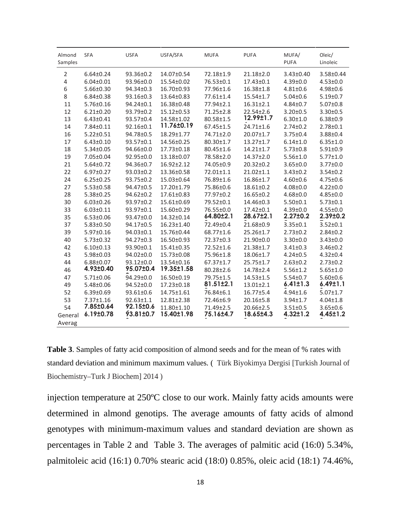| Almond<br>Samples | <b>SFA</b>      | <b>USFA</b>     | USFA/SFA   | <b>MUFA</b>     | <b>PUFA</b>     | MUFA/<br><b>PUFA</b> | Oleic/<br>Linoleic |
|-------------------|-----------------|-----------------|------------|-----------------|-----------------|----------------------|--------------------|
| $\mathbf 2$       | $6.64 \pm 0.24$ | 93.36±0.2       | 14.07±0.54 | 72.18±1.9       | 21.18±2.0       | 3.43±0.40            | 3.58±0.44          |
| $\overline{4}$    | $6.04 \pm 0.01$ | 93.96±0.0       | 15.54±0.02 | 76.53±0.1       | $17.43 \pm 0.1$ | $4.39 \pm 0.0$       | $4.53 \pm 0.0$     |
| 6                 | $5.66 \pm 0.30$ | 94.34±0.3       | 16.70±0.93 | 77.96±1.6       | $16.38 \pm 1.8$ | $4.81 \pm 0.6$       | $4.98 \pm 0.6$     |
| 8                 | $6.84 \pm 0.38$ | 93.16±0.3       | 13.64±0.83 | 77.61±1.4       | $15.54 \pm 1.7$ | $5.04 \pm 0.6$       | $5.19 \pm 0.7$     |
| 11                | $5.76 \pm 0.16$ | 94.24±0.1       | 16.38±0.48 | 77.94±2.1       | $16.31 \pm 2.1$ | $4.84 \pm 0.7$       | $5.07 \pm 0.8$     |
| 12                | $6.21 \pm 0.20$ | 93.79±0.2       | 15.12±0.53 | 71.25±2.8       | $22.54 \pm 2.6$ | $3.20 \pm 0.5$       | $3.30 \pm 0.5$     |
| 13                | $6.43 \pm 0.41$ | 93.57±0.4       | 14.58±1.02 | 80.58±1.5       | 12.99±1.7       | $6.30 \pm 1.0$       | $6.38 \pm 0.9$     |
| 14                | 7.84±0.11       | 92.16±0.1       | 11.76±0.19 | $67.45 \pm 1.5$ | $24.71 \pm 1.6$ | $2.74 \pm 0.2$       | $2.78 \pm 0.1$     |
| 16                | $5.22 \pm 0.51$ | 94.78±0.5       | 18.29±1.77 | 74.71±2.0       | 20.07±1.7       | $3.75 \pm 0.4$       | $3.88 \pm 0.4$     |
| 17                | $6.43 \pm 0.10$ | 93.57±0.1       | 14.56±0.25 | 80.30±1.7       | $13.27 \pm 1.7$ | $6.14 \pm 1.0$       | $6.35 \pm 1.0$     |
| 18                | $5.34 \pm 0.05$ | 94.66±0.0       | 17.73±0.18 | 80.45±1.6       | $14.21 \pm 1.7$ | $5.73 \pm 0.8$       | $5.91 \pm 0.9$     |
| 19                | 7.05±0.04       | 92.95±0.0       | 13.18±0.07 | 78.58±2.0       | 14.37±2.0       | $5.56 \pm 1.0$       | $5.77 \pm 1.0$     |
| 21                | $5.64 \pm 0.72$ | 94.36±0.7       | 16.92±2.12 | 74.05±0.9       | 20.32±0.2       | $3.65 \pm 0.0$       | $3.77 \pm 0.0$     |
| 22                | $6.97 \pm 0.27$ | 93.03±0.2       | 13.36±0.58 | 72.01±1.1       | $21.02 \pm 1.1$ | $3.43 \pm 0.2$       | $3.54 \pm 0.2$     |
| 24                | $6.25 \pm 0.25$ | 93.75±0.2       | 15.03±0.64 | 76.89±1.6       | 16.86±1.7       | $4.60 \pm 0.6$       | $4.75 \pm 0.6$     |
| 27                | $5.53 \pm 0.58$ | 94.47±0.5       | 17.20±1.79 | 75.86±0.6       | $18.61 \pm 0.2$ | $4.08 \pm 0.0$       | $4.22 \pm 0.0$     |
| 28                | $5.38 \pm 0.25$ | $94.62 \pm 0.2$ | 17.61±0.83 | 77.97±0.2       | $16.65 \pm 0.2$ | $4.68 \pm 0.0$       | $4.85 \pm 0.0$     |
| 30                | $6.03 \pm 0.26$ | 93.97±0.2       | 15.61±0.69 | 79.52±0.1       | 14.46±0.3       | $5.50 \pm 0.1$       | $5.73 \pm 0.1$     |
| 33                | $6.03 \pm 0.11$ | 93.97±0.1       | 15.60±0.29 | 76.55±0.0       | $17.42 \pm 0.1$ | $4.39 \pm 0.0$       | $4.55 \pm 0.0$     |
| 35                | $6.53 \pm 0.06$ | 93.47±0.0       | 14.32±0.14 | 64.80±2.1       | 28.67±2.1       | $2.27 \pm 0.2$       | 2.39±0.2           |
| 37                | $5.83 \pm 0.50$ | 94.17±0.5       | 16.23±1.40 | 72.49±0.4       | 21.68±0.9       | $3.35 \pm 0.1$       | $3.52 \pm 0.1$     |
| 39                | $5.97 \pm 0.16$ | 94.03±0.1       | 15.76±0.44 | 68.77±1.6       | 25.26±1.7       | $2.73 \pm 0.2$       | $2.84 \pm 0.2$     |
| 40                | $5.73 \pm 0.32$ | 94.27±0.3       | 16.50±0.93 | 72.37±0.3       | 21.90±0.0       | $3.30 \pm 0.0$       | $3.43 \pm 0.0$     |
| 42                | $6.10 \pm 0.13$ | 93.90±0.1       | 15.41±0.35 | 72.52±1.6       | 21.38±1.7       | $3.41 \pm 0.3$       | $3.46 \pm 0.2$     |
| 43                | 5.98±0.03       | 94.02±0.0       | 15.73±0.08 | 75.96±1.8       | 18.06±1.7       | $4.24 \pm 0.5$       | $4.32 \pm 0.4$     |
| 44                | $6.88 \pm 0.07$ | $93.12 \pm 0.0$ | 13.54±0.16 | 67.37±1.7       | 25.75±1.7       | $2.63 \pm 0.2$       | $2.73 \pm 0.2$     |
| 46                | 4.93±0.40       | 95.07±0.4       | 19.35±1.58 | 80.28±2.6       | 14.78±2.4       | $5.56 \pm 1.2$       | $5.65 \pm 1.0$     |
| 47                | $5.71 \pm 0.06$ | 94.29±0.0       | 16.50±0.19 | 79.75±1.5       | $14.53 \pm 1.5$ | $5.54 \pm 0.7$       | $5.60 \pm 0.6$     |
| 49                | 5.48±0.06       | 94.52±0.0       | 17.23±0.18 | 81.51±2.1       | $13.01 \pm 2.1$ | $6.41 \pm 1.3$       | $6.49 \pm 1.1$     |
| 52                | $6.39 \pm 0.69$ | 93.61±0.6       | 14.75±1.61 | 76.84±6.1       | $16.77 \pm 5.4$ | $4.94 \pm 1.6$       | $5.07 \pm 1.7$     |
| 53                | $7.37 \pm 1.16$ | $92.63 \pm 1.1$ | 12.81±2.38 | 72.46±6.9       | 20.16±5.8       | $3.94 \pm 1.7$       | $4.04 \pm 1.8$     |
| 54                | 7.85±0.64       | 92.15±0.6       | 11.80±1.10 | $71.49 \pm 2.5$ | $20.66 \pm 2.5$ | $3.51 \pm 0.5$       | $3.65 \pm 0.6$     |
| General           | 6.19±0.78       | 93.81±0.7       | 15.40±1.98 | 75.16±4.7       | 18.65±4.3       | $4.32 \pm 1.2$       | 4.45±1.2           |
| Averag            |                 |                 |            |                 |                 |                      |                    |

**Table 3**. Samples of fatty acid composition of almond seeds and for the mean of % rates with standard deviation and minimum maximum values. ( Türk Biyokimya Dergisi [Turkish Journal of Biochemistry–Turk J Biochem] 2014 )

injection temperature at 250ºC close to our work. Mainly fatty acids amounts were determined in almond genotips. The average amounts of fatty acids of almond genotypes with minimum-maximum values and standard deviation are shown as percentages in Table 2 and Table 3. The averages of palmitic acid (16:0) 5.34%, palmitoleic acid (16:1) 0.70% stearic acid (18:0) 0.85%, oleic acid (18:1) 74.46%,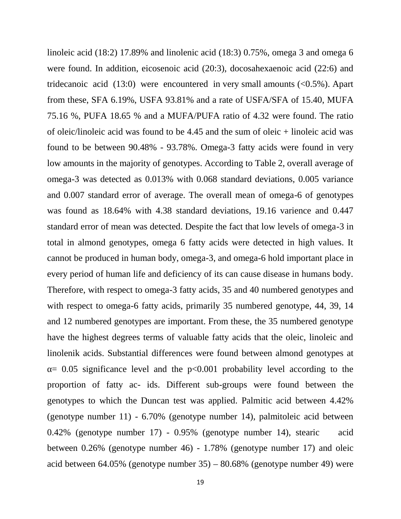linoleic acid (18:2) 17.89% and linolenic acid (18:3) 0.75%, omega 3 and omega 6 were found. In addition, eicosenoic acid (20:3), docosahexaenoic acid (22:6) and tridecanoic acid  $(13:0)$  were encountered in very small amounts  $(<0.5\%)$ . Apart from these, SFA 6.19%, USFA 93.81% and a rate of USFA/SFA of 15.40, MUFA 75.16 %, PUFA 18.65 % and a MUFA/PUFA ratio of 4.32 were found. The ratio of oleic/linoleic acid was found to be 4.45 and the sum of oleic + linoleic acid was found to be between 90.48% - 93.78%. Omega-3 fatty acids were found in very low amounts in the majority of genotypes. According to Table 2, overall average of omega-3 was detected as 0.013% with 0.068 standard deviations, 0.005 variance and 0.007 standard error of average. The overall mean of omega-6 of genotypes was found as 18.64% with 4.38 standard deviations, 19.16 varience and 0.447 standard error of mean was detected. Despite the fact that low levels of omega-3 in total in almond genotypes, omega 6 fatty acids were detected in high values. It cannot be produced in human body, omega-3, and omega-6 hold important place in every period of human life and deficiency of its can cause disease in humans body. Therefore, with respect to omega-3 fatty acids, 35 and 40 numbered genotypes and with respect to omega-6 fatty acids, primarily 35 numbered genotype, 44, 39, 14 and 12 numbered genotypes are important. From these, the 35 numbered genotype have the highest degrees terms of valuable fatty acids that the oleic, linoleic and linolenik acids. Substantial differences were found between almond genotypes at  $= 0.05$  significance level and the p<0.001 probability level according to the proportion of fatty ac- ids. Different sub-groups were found between the genotypes to which the Duncan test was applied. Palmitic acid between 4.42% (genotype number 11) - 6.70% (genotype number 14), palmitoleic acid between 0.42% (genotype number 17) - 0.95% (genotype number 14), stearic acid between 0.26% (genotype number 46) - 1.78% (genotype number 17) and oleic acid between 64.05% (genotype number 35) – 80.68% (genotype number 49) were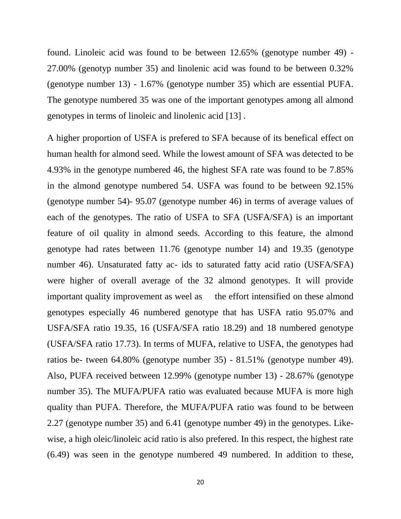found. Linoleic acid was found to be between 12.65% (genotype number 49) - 27.00% (genotyp number 35) and linolenic acid was found to be between 0.32% (genotype number 13) - 1.67% (genotype number 35) which are essential PUFA. The genotype numbered 35 was one of the important genotypes among all almond genotypes in terms of linoleic and linolenic acid [13] .

A higher proportion of USFA is prefered to SFA because of its benefical effect on human health for almond seed. While the lowest amount of SFA was detected to be 4.93% in the genotype numbered 46, the highest SFA rate was found to be 7.85% in the almond genotype numbered 54. USFA was found to be between 92.15% (genotype number 54)- 95.07 (genotype number 46) in terms of average values of each of the genotypes. The ratio of USFA to SFA (USFA/SFA) is an important feature of oil quality in almond seeds. According to this feature, the almond genotype had rates between 11.76 (genotype number 14) and 19.35 (genotype number 46). Unsaturated fatty ac- ids to saturated fatty acid ratio (USFA/SFA) were higher of overall average of the 32 almond genotypes. It will provide important quality improvement as weel as the effort intensified on these almond genotypes especially 46 numbered genotype that has USFA ratio 95.07% and USFA/SFA ratio 19.35, 16 (USFA/SFA ratio 18.29) and 18 numbered genotype (USFA/SFA ratio 17.73). In terms of MUFA, relative to USFA, the genotypes had ratios be- tween 64.80% (genotype number 35) - 81.51% (genotype number 49). Also, PUFA received between 12.99% (genotype number 13) - 28.67% (genotype number 35). The MUFA/PUFA ratio was evaluated because MUFA is more high quality than PUFA. Therefore, the MUFA/PUFA ratio was found to be between 2.27 (genotype number 35) and 6.41 (genotype number 49) in the genotypes. Like wise, a high oleic/linoleic acid ratio is also prefered. In this respect, the highest rate (6.49) was seen in the genotype numbered 49 numbered. In addition to these,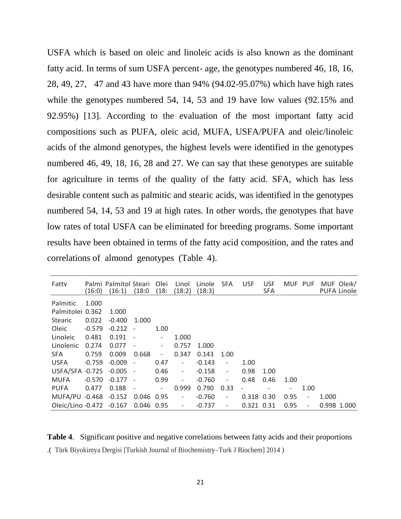USFA which is based on oleic and linoleic acids is also known as the dominant fatty acid. In terms of sum USFA percent- age, the genotypes numbered 46, 18, 16, 28, 49, 27, 47 and 43 have more than 94% (94.02-95.07%) which have high rates while the genotypes numbered 54, 14, 53 and 19 have low values (92.15% and 92.95%) [13]. According to the evaluation of the most important fatty acid compositions such as PUFA, oleic acid, MUFA, USFA/PUFA and oleic/linoleic acids of the almond genotypes, the highest levels were identified in the genotypes numbered 46, 49, 18, 16, 28 and 27. We can say that these genotypes are suitable for agriculture in terms of the quality of the fatty acid. SFA, which has less desirable content such as palmitic and stearic acids, was identified in the genotypes numbered 54, 14, 53 and 19 at high rates. In other words, the genotypes that have low rates of total USFA can be eliminated for breeding programs. Some important results have been obtained in terms of the fatty acid composition, and the rates and correlations of almond genotypes (Table 4).

| Fatty                    | (16:0)   | Palmi Palmitol Steari<br>(16:1) | (18:0)                   | Olei<br>(18)             | Linol<br>(18:2)          | Linole<br>(18:3) | <b>SFA</b>               | <b>USF</b>               | <b>USF</b><br><b>SFA</b> | MUF PUF |                          |             | MUF Oleik/<br><b>PUFA Linole</b> |
|--------------------------|----------|---------------------------------|--------------------------|--------------------------|--------------------------|------------------|--------------------------|--------------------------|--------------------------|---------|--------------------------|-------------|----------------------------------|
| Palmitic                 | 1.000    |                                 |                          |                          |                          |                  |                          |                          |                          |         |                          |             |                                  |
| Palmitolei 0.362         |          | 1.000                           |                          |                          |                          |                  |                          |                          |                          |         |                          |             |                                  |
| <b>Stearic</b>           | 0.022    | $-0.400$                        | 1.000                    |                          |                          |                  |                          |                          |                          |         |                          |             |                                  |
| Oleic                    | $-0.579$ | $-0.212$                        |                          | 1.00                     |                          |                  |                          |                          |                          |         |                          |             |                                  |
| Linoleic                 | 0.481    | 0.191                           |                          |                          | 1.000                    |                  |                          |                          |                          |         |                          |             |                                  |
| Linolenic                | 0.274    | 0.077                           | $\overline{\phantom{a}}$ | $\overline{\phantom{a}}$ | 0.757                    | 1.000            |                          |                          |                          |         |                          |             |                                  |
| SFA                      | 0.759    | 0.009                           | 0.668                    | $\qquad \qquad -$        | 0.347                    | 0.143            | 1.00                     |                          |                          |         |                          |             |                                  |
| <b>USFA</b>              | $-0.759$ | $-0.009$                        | $\qquad \qquad -$        | 0.47                     | $\sim$                   | $-0.143$         | $\overline{\phantom{a}}$ | 1.00                     |                          |         |                          |             |                                  |
| <b>USFA/SFA -0.725</b>   |          | $-0.005 -$                      |                          | 0.46                     | $\overline{\phantom{a}}$ | $-0.158$         | $\overline{\phantom{a}}$ | 0.98                     | 1.00                     |         |                          |             |                                  |
| <b>MUFA</b>              | $-0.570$ | $-0.177 -$                      |                          | 0.99                     | $\overline{\phantom{a}}$ | $-0.760$         | $\overline{\phantom{a}}$ | 0.48                     | 0.46                     | 1.00    |                          |             |                                  |
| <b>PUFA</b>              | 0.477    | 0.188                           | $\sim$                   | $\overline{\phantom{a}}$ | 0.999                    | 0.790            | 0.33                     | $\overline{\phantom{0}}$ |                          |         | 1.00                     |             |                                  |
| MUFA/PU -0.468 -0.152    |          |                                 | 0.046 0.95               |                          | $\overline{\phantom{a}}$ | $-0.760$         | $\overline{\phantom{a}}$ | 0.318 0.30               |                          | 0.95    | $\overline{\phantom{a}}$ | 1.000       |                                  |
| Oleic/Lino -0.472 -0.167 |          |                                 | 0.046 0.95               |                          | $\overline{\phantom{a}}$ | $-0.737$         | $\overline{\phantom{a}}$ | 0.321 0.31               |                          | 0.95    | $\qquad \qquad -$        | 0.998 1.000 |                                  |

**Table 4**. Significant positive and negative correlations between fatty acids and their proportions .( Türk Biyokimya Dergisi [Turkish Journal of Biochemistry–Turk J Biochem] 2014 )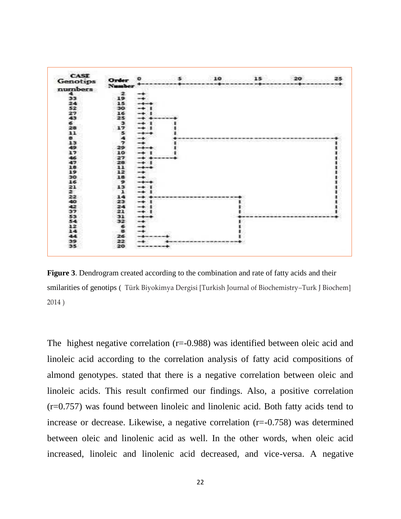| Genotips<br>numbers<br>44.<br>33<br>24<br>52<br>27<br>43<br>is.<br>28<br>33.<br>面.<br>3.3 | Number<br>$\mathbf{z}$<br>19.<br>1.5.<br>-30.<br>16<br>25.<br>專<br>17<br>滞。<br>Ã<br>$\mathbf{r}$ | ۰<br><b>Service</b><br>--<br><b>STATE</b><br>mark of<br>القبيد<br>and in |                                   | recommendation of the contract of the contract of the discovery of the contract of the condition of the contract of the contract of |  |
|-------------------------------------------------------------------------------------------|--------------------------------------------------------------------------------------------------|--------------------------------------------------------------------------|-----------------------------------|-------------------------------------------------------------------------------------------------------------------------------------|--|
|                                                                                           |                                                                                                  |                                                                          |                                   |                                                                                                                                     |  |
|                                                                                           |                                                                                                  |                                                                          |                                   |                                                                                                                                     |  |
|                                                                                           |                                                                                                  |                                                                          |                                   |                                                                                                                                     |  |
|                                                                                           |                                                                                                  |                                                                          |                                   |                                                                                                                                     |  |
|                                                                                           |                                                                                                  |                                                                          |                                   |                                                                                                                                     |  |
|                                                                                           |                                                                                                  |                                                                          |                                   |                                                                                                                                     |  |
|                                                                                           |                                                                                                  |                                                                          |                                   |                                                                                                                                     |  |
|                                                                                           |                                                                                                  |                                                                          |                                   |                                                                                                                                     |  |
|                                                                                           |                                                                                                  |                                                                          |                                   |                                                                                                                                     |  |
|                                                                                           |                                                                                                  |                                                                          |                                   |                                                                                                                                     |  |
|                                                                                           |                                                                                                  |                                                                          |                                   |                                                                                                                                     |  |
|                                                                                           |                                                                                                  |                                                                          |                                   |                                                                                                                                     |  |
|                                                                                           |                                                                                                  | country.                                                                 |                                   |                                                                                                                                     |  |
| 49                                                                                        | 291                                                                                              |                                                                          |                                   |                                                                                                                                     |  |
| 3.7                                                                                       | 10                                                                                               |                                                                          |                                   |                                                                                                                                     |  |
| 46                                                                                        | 27.                                                                                              |                                                                          | <b>Contract Contract Contract</b> |                                                                                                                                     |  |
| 44.75                                                                                     | 28.                                                                                              |                                                                          |                                   |                                                                                                                                     |  |
| 2.8                                                                                       | 31.31                                                                                            | - 4                                                                      |                                   |                                                                                                                                     |  |
| 19                                                                                        | $1.2^{\circ}$                                                                                    | فتسد                                                                     |                                   |                                                                                                                                     |  |
| 2001                                                                                      | 18                                                                                               |                                                                          |                                   |                                                                                                                                     |  |
| 16                                                                                        | 91                                                                                               | media                                                                    |                                   |                                                                                                                                     |  |
| 21                                                                                        | 13.                                                                                              | market.                                                                  |                                   |                                                                                                                                     |  |
|                                                                                           | ъ.                                                                                               | مادست                                                                    |                                   |                                                                                                                                     |  |
|                                                                                           | 24                                                                                               | <b>Service</b>                                                           |                                   |                                                                                                                                     |  |
| $\frac{2}{40}$                                                                            | 学生                                                                                               | متفاسسه                                                                  |                                   |                                                                                                                                     |  |
| 42                                                                                        | 24                                                                                               | and the                                                                  |                                   |                                                                                                                                     |  |
| 37                                                                                        | 21                                                                                               | country.                                                                 |                                   |                                                                                                                                     |  |
| 53                                                                                        | 31.                                                                                              | and in                                                                   |                                   |                                                                                                                                     |  |
| 54                                                                                        | 32.                                                                                              | - 4                                                                      |                                   |                                                                                                                                     |  |
| 12                                                                                        | 61                                                                                               |                                                                          |                                   |                                                                                                                                     |  |
| 3.4                                                                                       | $-18$                                                                                            | and the                                                                  |                                   |                                                                                                                                     |  |
| 44                                                                                        | 26.                                                                                              |                                                                          |                                   |                                                                                                                                     |  |
| 39                                                                                        | 22                                                                                               |                                                                          |                                   |                                                                                                                                     |  |
| 35                                                                                        | 20                                                                                               | 1980 FOR 1981 FOR 1992 FOR 1993 FOR                                      |                                   |                                                                                                                                     |  |

**Figure 3**. Dendrogram created according to the combination and rate of fatty acids and their smilarities of genotips ( Türk Biyokimya Dergisi [Turkish Journal of Biochemistry–Turk J Biochem] 2014 )

The highest negative correlation (r=-0.988) was identified between oleic acid and linoleic acid according to the correlation analysis of fatty acid compositions of almond genotypes. stated that there is a negative correlation between oleic and linoleic acids. This result confirmed our findings. Also, a positive correlation (r=0.757) was found between linoleic and linolenic acid. Both fatty acids tend to increase or decrease. Likewise, a negative correlation (r=-0.758) was determined between oleic and linolenic acid as well. In the other words, when oleic acid increased, linoleic and linolenic acid decreased, and vice-versa. A negative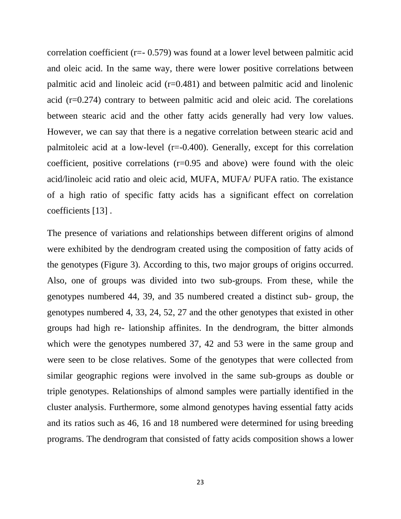correlation coefficient (r=- 0.579) was found at a lower level between palmitic acid and oleic acid. In the same way, there were lower positive correlations between palmitic acid and linoleic acid  $(r=0.481)$  and between palmitic acid and linolenic acid (r=0.274) contrary to between palmitic acid and oleic acid. The corelations between stearic acid and the other fatty acids generally had very low values. However, we can say that there is a negative correlation between stearic acid and palmitoleic acid at a low-level  $(r=-0.400)$ . Generally, except for this correlation coefficient, positive correlations  $(r=0.95)$  and above) were found with the oleic acid/linoleic acid ratio and oleic acid, MUFA, MUFA/ PUFA ratio. The existance of a high ratio of specific fatty acids has a significant effect on correlation coefficients [13] .

The presence of variations and relationships between different origins of almond were exhibited by the dendrogram created using the composition of fatty acids of the genotypes (Figure 3). According to this, two major groups of origins occurred. Also, one of groups was divided into two sub-groups. From these, while the genotypes numbered 44, 39, and 35 numbered created a distinct sub- group, the genotypes numbered 4, 33, 24, 52, 27 and the other genotypes that existed in other groups had high re- lationship affinites. In the dendrogram, the bitter almonds which were the genotypes numbered 37, 42 and 53 were in the same group and were seen to be close relatives. Some of the genotypes that were collected from similar geographic regions were involved in the same sub-groups as double or triple genotypes. Relationships of almond samples were partially identified in the cluster analysis. Furthermore, some almond genotypes having essential fatty acids and its ratios such as 46, 16 and 18 numbered were determined for using breeding programs. The dendrogram that consisted of fatty acids composition shows a lower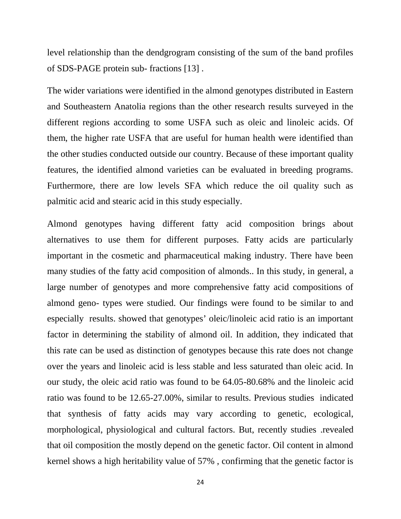level relationship than the dendgrogram consisting of the sum of the band profiles of SDS-PAGE protein sub- fractions [13] .

The wider variations were identified in the almond genotypes distributed in Eastern and Southeastern Anatolia regions than the other research results surveyed in the different regions according to some USFA such as oleic and linoleic acids. Of them, the higher rate USFA that are useful for human health were identified than the other studies conducted outside our country. Because of these important quality features, the identified almond varieties can be evaluated in breeding programs. Furthermore, there are low levels SFA which reduce the oil quality such as palmitic acid and stearic acid in this study especially.

Almond genotypes having different fatty acid composition brings about alternatives to use them for different purposes. Fatty acids are particularly important in the cosmetic and pharmaceutical making industry. There have been many studies of the fatty acid composition of almonds.. In this study, in general, a large number of genotypes and more comprehensive fatty acid compositions of almond geno- types were studied. Our findings were found to be similar to and especially results. showed that genotypes' oleic/linoleic acid ratio is an important factor in determining the stability of almond oil. In addition, they indicated that this rate can be used as distinction of genotypes because this rate does not change over the years and linoleic acid is less stable and less saturated than oleic acid. In our study, the oleic acid ratio was found to be 64.05-80.68% and the linoleic acid ratio was found to be 12.65-27.00%, similar to results. Previous studies indicated that synthesis of fatty acids may vary according to genetic, ecological, morphological, physiological and cultural factors. But, recently studies .revealed that oil composition the mostly depend on the genetic factor. Oil content in almond kernel shows a high heritability value of 57% , confirming that the genetic factor is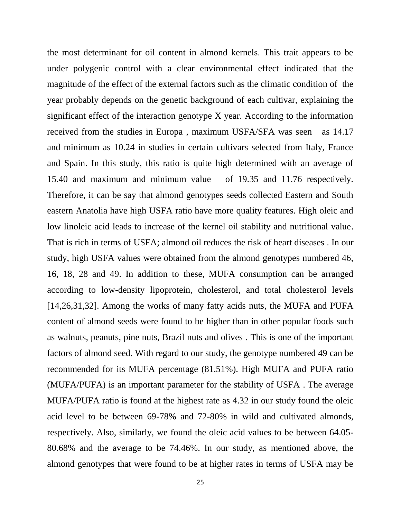the most determinant for oil content in almond kernels. This trait appears to be under polygenic control with a clear environmental effect indicated that the magnitude of the effect of the external factors such as the climatic condition of the year probably depends on the genetic background of each cultivar, explaining the significant effect of the interaction genotype X year. According to the information received from the studies in Europa , maximum USFA/SFA was seen as 14.17 and minimum as 10.24 in studies in certain cultivars selected from Italy, France and Spain. In this study, this ratio is quite high determined with an average of 15.40 and maximum and minimum value of 19.35 and 11.76 respectively. Therefore, it can be say that almond genotypes seeds collected Eastern and South eastern Anatolia have high USFA ratio have more quality features. High oleic and low linoleic acid leads to increase of the kernel oil stability and nutritional value. That is rich in terms of USFA; almond oil reduces the risk of heart diseases . In our study, high USFA values were obtained from the almond genotypes numbered 46, 16, 18, 28 and 49. In addition to these, MUFA consumption can be arranged according to low-density lipoprotein, cholesterol, and total cholesterol levels [14,26,31,32]. Among the works of many fatty acids nuts, the MUFA and PUFA content of almond seeds were found to be higher than in other popular foods such as walnuts, peanuts, pine nuts, Brazil nuts and olives . This is one of the important factors of almond seed. With regard to our study, the genotype numbered 49 can be recommended for its MUFA percentage (81.51%). High MUFA and PUFA ratio (MUFA/PUFA) is an important parameter for the stability of USFA . The average MUFA/PUFA ratio is found at the highest rate as 4.32 in our study found the oleic acid level to be between 69-78% and 72-80% in wild and cultivated almonds, respectively. Also, similarly, we found the oleic acid values to be between 64.05- 80.68% and the average to be 74.46%. In our study, as mentioned above, the almond genotypes that were found to be at higher rates in terms of USFA may be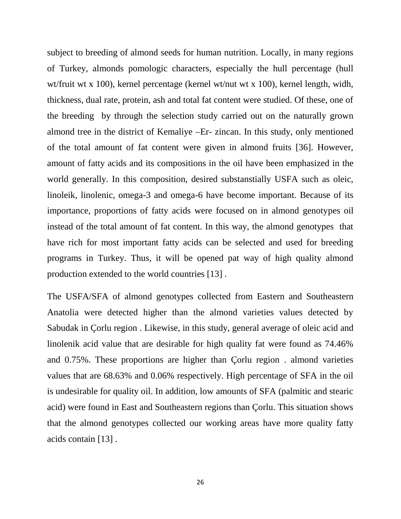subject to breeding of almond seeds for human nutrition. Locally, in many regions of Turkey, almonds pomologic characters, especially the hull percentage (hull wt/fruit wt x 100), kernel percentage (kernel wt/nut wt x 100), kernel length, widh, thickness, dual rate, protein, ash and total fat content were studied. Of these, one of the breeding by through the selection study carried out on the naturally grown almond tree in the district of Kemaliye –Er- zincan. In this study, only mentioned of the total amount of fat content were given in almond fruits [36]. However, amount of fatty acids and its compositions in the oil have been emphasized in the world generally. In this composition, desired substanstially USFA such as oleic, linoleik, linolenic, omega-3 and omega-6 have become important. Because of its importance, proportions of fatty acids were focused on in almond genotypes oil instead of the total amount of fat content. In this way, the almond genotypes that have rich for most important fatty acids can be selected and used for breeding programs in Turkey. Thus, it will be opened pat way of high quality almond production extended to the world countries [13] .

The USFA/SFA of almond genotypes collected from Eastern and Southeastern Anatolia were detected higher than the almond varieties values detected by Sabudak in Çorlu region . Likewise, in this study, general average of oleic acid and linolenik acid value that are desirable for high quality fat were found as 74.46% and 0.75%. These proportions are higher than Çorlu region . almond varieties values that are 68.63% and 0.06% respectively. High percentage of SFA in the oil is undesirable for quality oil. In addition, low amounts of SFA (palmitic and stearic acid) were found in East and Southeastern regions than Çorlu. This situation shows that the almond genotypes collected our working areas have more quality fatty acids contain [13] .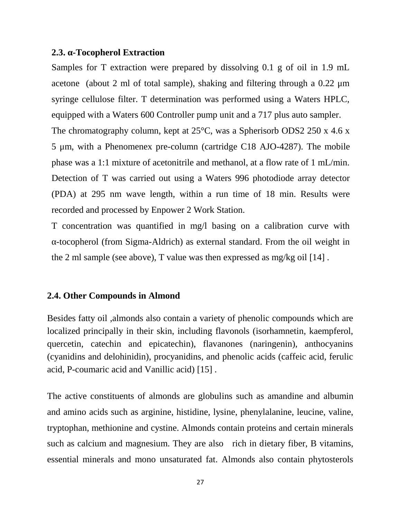### **2.3. -Tocopherol Extraction**

Samples for T extraction were prepared by dissolving 0.1 g of oil in 1.9 mL acetone (about 2 ml of total sample), shaking and filtering through a 0.22 μm syringe cellulose filter. T determination was performed using a Waters HPLC, equipped with a Waters 600 Controller pump unit and a 717 plus auto sampler. The chromatography column, kept at 25<sup>o</sup>C, was a Spherisorb ODS2 250 x 4.6 x 5 μm, with a Phenomenex pre-column (cartridge C18 AJO-4287). The mobile phase was a 1:1 mixture of acetonitrile and methanol, at a flow rate of 1 mL/min. Detection of T was carried out using a Waters 996 photodiode array detector (PDA) at 295 nm wave length, within a run time of 18 min. Results were recorded and processed by Enpower 2 Work Station.

T concentration was quantified in mg/l basing on a calibration curve with -tocopherol (from Sigma-Aldrich) as external standard. From the oil weight in the 2 ml sample (see above), T value was then expressed as mg/kg oil [14] .

# **2.4. Other Compounds in Almond**

Besides fatty oil ,almonds also contain a variety of phenolic compounds which are localized principally in their skin, including flavonols (isorhamnetin, kaempferol, quercetin, catechin and epicatechin), flavanones (naringenin), anthocyanins (cyanidins and delohinidin), procyanidins, and phenolic acids (caffeic acid, ferulic acid, P-coumaric acid and Vanillic acid) [15] .

The active constituents of almonds are globulins such as amandine and albumin and amino acids such as arginine, histidine, lysine, phenylalanine, leucine, valine, tryptophan, methionine and cystine. Almonds contain proteins and certain minerals such as calcium and magnesium. They are also rich in dietary fiber, B vitamins, essential minerals and mono unsaturated fat. Almonds also contain phytosterols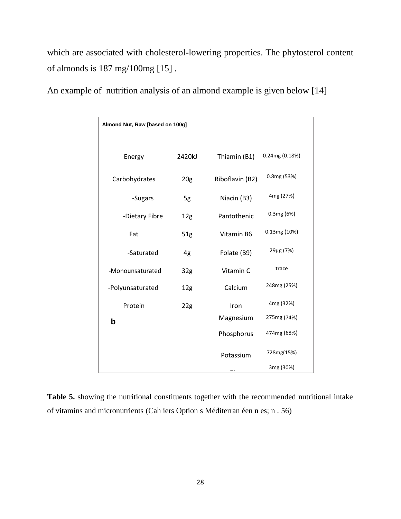which are associated with cholesterol-lowering properties. The phytosterol content of almonds is 187 mg/100mg [15] .

| Almond Nut, Raw [based on 100g] |                 |                 |                |
|---------------------------------|-----------------|-----------------|----------------|
| Energy                          | 2420kJ          | Thiamin (B1)    | 0.24mg (0.18%) |
| Carbohydrates                   | 20 <sub>g</sub> | Riboflavin (B2) | 0.8mg (53%)    |
| -Sugars                         | 5g              | Niacin (B3)     | 4mg (27%)      |
| -Dietary Fibre                  | 12 <sub>g</sub> | Pantothenic     | 0.3mg (6%)     |
| Fat                             | 51g             | Vitamin B6      | 0.13mg(10%)    |
| -Saturated                      | 4g              | Folate (B9)     | 29µg (7%)      |
| -Monounsaturated                | 32 <sub>g</sub> | Vitamin C       | trace          |
| -Polyunsaturated                | 12 <sub>g</sub> | Calcium         | 248mg (25%)    |
| Protein                         | 22g             | Iron            | 4mg (32%)      |
| b                               |                 | Magnesium       | 275mg (74%)    |
|                                 |                 | Phosphorus      | 474mg (68%)    |
|                                 |                 | Potassium       | 728mg(15%)     |
|                                 |                 |                 | 3mg (30%)      |

An example of nutrition analysis of an almond example is given below [14]

**Table 5.** showing the nutritional constituents together with the recommended nutritional intake of vitamins and micronutrients (Cah iers Option s Méditerran éen n es; n . 56)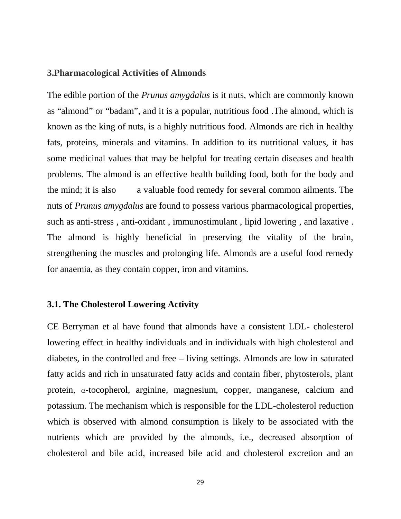### **3.Pharmacological Activities of Almonds**

The edible portion of the *Prunus amygdalus* is it nuts, which are commonly known as "almond" or "badam", and it is a popular, nutritious food .The almond, which is known as the king of nuts, is a highly nutritious food. Almonds are rich in healthy fats, proteins, minerals and vitamins. In addition to its nutritional values, it has some medicinal values that may be helpful for treating certain diseases and health problems. The almond is an effective health building food, both for the body and the mind; it is also a valuable food remedy for several common ailments. The nuts of *Prunus amygdalus* are found to possess various pharmacological properties, such as anti-stress , anti-oxidant , immunostimulant , lipid lowering , and laxative . The almond is highly beneficial in preserving the vitality of the brain, strengthening the muscles and prolonging life. Almonds are a useful food remedy for anaemia, as they contain copper, iron and vitamins.

#### **3.1. The Cholesterol Lowering Activity**

CE Berryman et al have found that almonds have a consistent LDL- cholesterol lowering effect in healthy individuals and in individuals with high cholesterol and diabetes, in the controlled and free – living settings. Almonds are low in saturated fatty acids and rich in unsaturated fatty acids and contain fiber, phytosterols, plant protein,  $\alpha$ -tocopherol, arginine, magnesium, copper, manganese, calcium and potassium. The mechanism which is responsible for the LDL-cholesterol reduction which is observed with almond consumption is likely to be associated with the nutrients which are provided by the almonds, i.e., decreased absorption of cholesterol and bile acid, increased bile acid and cholesterol excretion and an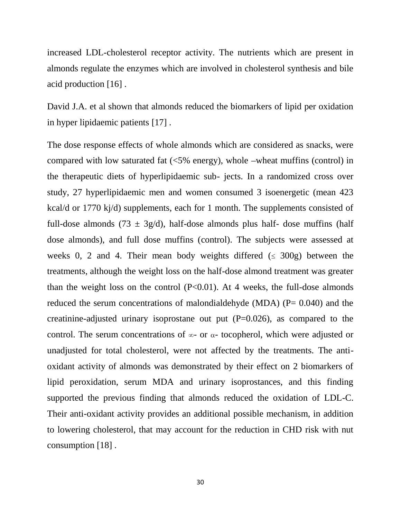increased LDL-cholesterol receptor activity. The nutrients which are present in almonds regulate the enzymes which are involved in cholesterol synthesis and bile acid production [16] .

David J.A. et al shown that almonds reduced the biomarkers of lipid per oxidation in hyper lipidaemic patients [17] .

The dose response effects of whole almonds which are considered as snacks, were compared with low saturated fat  $\langle$ <5% energy), whole –wheat muffins (control) in the therapeutic diets of hyperlipidaemic sub- jects. In a randomized cross over study, 27 hyperlipidaemic men and women consumed 3 isoenergetic (mean 423 kcal/d or 1770 kj/d) supplements, each for 1 month. The supplements consisted of full-dose almonds (73  $\pm$  3g/d), half-dose almonds plus half-dose muffins (half dose almonds), and full dose muffins (control). The subjects were assessed at weeks 0, 2 and 4. Their mean body weights differed  $( \leq 300 \text{ g})$  between the treatments, although the weight loss on the half-dose almond treatment was greater than the weight loss on the control  $(P<0.01)$ . At 4 weeks, the full-dose almonds reduced the serum concentrations of malondialdehyde (MDA) ( $P = 0.040$ ) and the creatinine-adjusted urinary isoprostane out put  $(P=0.026)$ , as compared to the control. The serum concentrations of  $\infty$ - or  $\alpha$ - tocopherol, which were adjusted or unadjusted for total cholesterol, were not affected by the treatments. The anti oxidant activity of almonds was demonstrated by their effect on 2 biomarkers of lipid peroxidation, serum MDA and urinary isoprostances, and this finding supported the previous finding that almonds reduced the oxidation of LDL-C. Their anti-oxidant activity provides an additional possible mechanism, in addition to lowering cholesterol, that may account for the reduction in CHD risk with nut consumption [18] .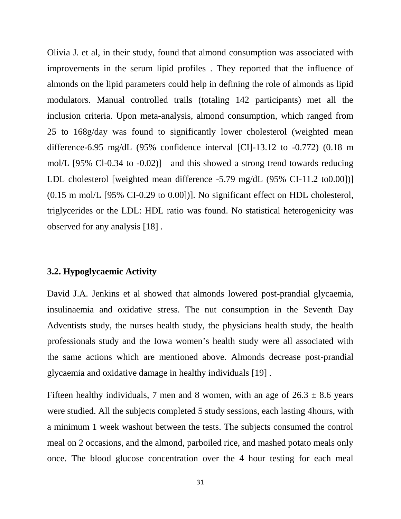Olivia J. et al, in their study, found that almond consumption was associated with improvements in the serum lipid profiles . They reported that the influence of almonds on the lipid parameters could help in defining the role of almonds as lipid modulators. Manual controlled trails (totaling 142 participants) met all the inclusion criteria. Upon meta-analysis, almond consumption, which ranged from 25 to 168g/day was found to significantly lower cholesterol (weighted mean difference-6.95 mg/dL (95% confidence interval [CI]-13.12 to -0.772) (0.18 m mol/L [95% Cl-0.34 to -0.02)] and this showed a strong trend towards reducing LDL cholesterol [weighted mean difference -5.79 mg/dL (95% CI-11.2 to0.00])] (0.15 m mol/L [95% CI-0.29 to 0.00])]. No significant effect on HDL cholesterol, triglycerides or the LDL: HDL ratio was found. No statistical heterogenicity was observed for any analysis [18] .

# **3.2. Hypoglycaemic Activity**

David J.A. Jenkins et al showed that almonds lowered post-prandial glycaemia, insulinaemia and oxidative stress. The nut consumption in the Seventh Day Adventists study, the nurses health study, the physicians health study, the health professionals study and the Iowa women's health study were all associated with the same actions which are mentioned above. Almonds decrease post-prandial glycaemia and oxidative damage in healthy individuals [19] .

Fifteen healthy individuals, 7 men and 8 women, with an age of  $26.3 \pm 8.6$  years were studied. All the subjects completed 5 study sessions, each lasting 4hours, with a minimum 1 week washout between the tests. The subjects consumed the control meal on 2 occasions, and the almond, parboiled rice, and mashed potato meals only once. The blood glucose concentration over the 4 hour testing for each meal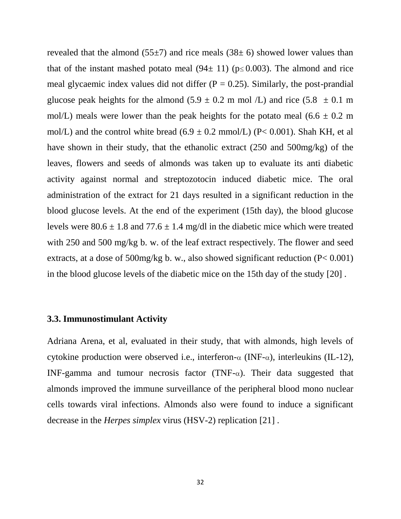revealed that the almond  $(55\pm7)$  and rice meals  $(38\pm6)$  showed lower values than that of the instant mashed potato meal  $(94 \pm 11)$  ( $p \le 0.003$ ). The almond and rice meal glycaemic index values did not differ  $(P = 0.25)$ . Similarly, the post-prandial glucose peak heights for the almond  $(5.9 \pm 0.2 \text{ m mol}$  /L) and rice  $(5.8 \pm 0.1 \text{ m})$ mol/L) meals were lower than the peak heights for the potato meal  $(6.6 \pm 0.2 \text{ m})$ mol/L) and the control white bread  $(6.9 \pm 0.2 \text{ mmol/L})$  (P< 0.001). Shah KH, et al have shown in their study, that the ethanolic extract (250 and 500mg/kg) of the leaves, flowers and seeds of almonds was taken up to evaluate its anti diabetic activity against normal and streptozotocin induced diabetic mice. The oral administration of the extract for 21 days resulted in a significant reduction in the blood glucose levels. At the end of the experiment (15th day), the blood glucose levels were  $80.6 \pm 1.8$  and  $77.6 \pm 1.4$  mg/dl in the diabetic mice which were treated with 250 and 500 mg/kg b. w. of the leaf extract respectively. The flower and seed extracts, at a dose of 500mg/kg b. w., also showed significant reduction (P< 0.001) in the blood glucose levels of the diabetic mice on the 15th day of the study [20] .

## **3.3. Immunostimulant Activity**

Adriana Arena, et al, evaluated in their study, that with almonds, high levels of cytokine production were observed i.e., interferon- $\alpha$  (INF- $\alpha$ ), interleukins (IL-12), INF-gamma and tumour necrosis factor (TNF- $\alpha$ ). Their data suggested that almonds improved the immune surveillance of the peripheral blood mono nuclear cells towards viral infections. Almonds also were found to induce a significant decrease in the *Herpes simplex* virus (HSV-2) replication [21] .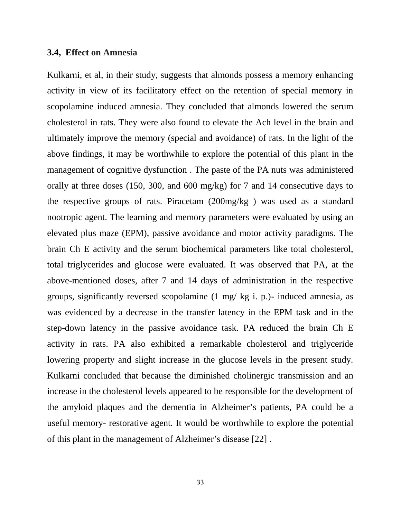#### **3.4, Effect on Amnesia**

Kulkarni, et al, in their study, suggests that almonds possess a memory enhancing activity in view of its facilitatory effect on the retention of special memory in scopolamine induced amnesia. They concluded that almonds lowered the serum cholesterol in rats. They were also found to elevate the Ach level in the brain and ultimately improve the memory (special and avoidance) of rats. In the light of the above findings, it may be worthwhile to explore the potential of this plant in the management of cognitive dysfunction . The paste of the PA nuts was administered orally at three doses (150, 300, and 600 mg/kg) for 7 and 14 consecutive days to the respective groups of rats. Piracetam (200mg/kg ) was used as a standard nootropic agent. The learning and memory parameters were evaluated by using an elevated plus maze (EPM), passive avoidance and motor activity paradigms. The brain Ch E activity and the serum biochemical parameters like total cholesterol, total triglycerides and glucose were evaluated. It was observed that PA, at the above-mentioned doses, after 7 and 14 days of administration in the respective groups, significantly reversed scopolamine (1 mg/ kg i. p.)- induced amnesia, as was evidenced by a decrease in the transfer latency in the EPM task and in the step-down latency in the passive avoidance task. PA reduced the brain Ch E activity in rats. PA also exhibited a remarkable cholesterol and triglyceride lowering property and slight increase in the glucose levels in the present study. Kulkarni concluded that because the diminished cholinergic transmission and an increase in the cholesterol levels appeared to be responsible for the development of the amyloid plaques and the dementia in Alzheimer's patients, PA could be a useful memory- restorative agent. It would be worthwhile to explore the potential of this plant in the management of Alzheimer's disease [22] .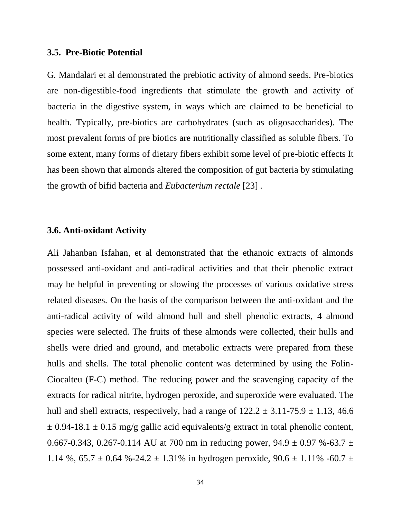#### **3.5. Pre-Biotic Potential**

G. Mandalari et al demonstrated the prebiotic activity of almond seeds. Pre-biotics are non-digestible-food ingredients that stimulate the growth and activity of bacteria in the digestive system, in ways which are claimed to be beneficial to health. Typically, pre-biotics are carbohydrates (such as oligosaccharides). The most prevalent forms of pre biotics are nutritionally classified as soluble fibers. To some extent, many forms of dietary fibers exhibit some level of pre-biotic effects It has been shown that almonds altered the composition of gut bacteria by stimulating the growth of bifid bacteria and *Eubacterium rectale* [23] .

### **3.6. Anti-oxidant Activity**

Ali Jahanban Isfahan, et al demonstrated that the ethanoic extracts of almonds possessed anti-oxidant and anti-radical activities and that their phenolic extract may be helpful in preventing or slowing the processes of various oxidative stress related diseases. On the basis of the comparison between the anti-oxidant and the anti-radical activity of wild almond hull and shell phenolic extracts, 4 almond species were selected. The fruits of these almonds were collected, their hulls and shells were dried and ground, and metabolic extracts were prepared from these hulls and shells. The total phenolic content was determined by using the Folin- Ciocalteu (F-C) method. The reducing power and the scavenging capacity of the extracts for radical nitrite, hydrogen peroxide, and superoxide were evaluated. The hull and shell extracts, respectively, had a range of  $122.2 \pm 3.11 - 75.9 \pm 1.13$ , 46.6  $\pm$  0.94-18.1  $\pm$  0.15 mg/g gallic acid equivalents/g extract in total phenolic content, 0.667-0.343, 0.267-0.114 AU at 700 nm in reducing power,  $94.9 \pm 0.97$  %-63.7  $\pm$ 1.14 %,  $65.7 \pm 0.64$  %-24.2  $\pm$  1.31% in hydrogen peroxide,  $90.6 \pm 1.11$ % -60.7  $\pm$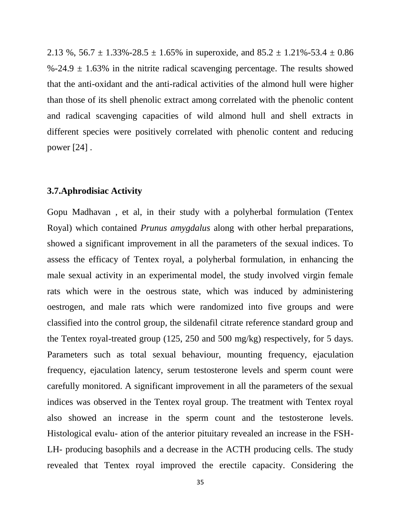2.13 %,  $56.7 \pm 1.33\% - 28.5 \pm 1.65\%$  in superoxide, and  $85.2 \pm 1.21\% - 53.4 \pm 0.86$  $\%$ -24.9  $\pm$  1.63% in the nitrite radical scavenging percentage. The results showed that the anti-oxidant and the anti-radical activities of the almond hull were higher than those of its shell phenolic extract among correlated with the phenolic content and radical scavenging capacities of wild almond hull and shell extracts in different species were positively correlated with phenolic content and reducing power [24] .

### **3.7.Aphrodisiac Activity**

Gopu Madhavan , et al, in their study with a polyherbal formulation (Tentex Royal) which contained *Prunus amygdalus* along with other herbal preparations, showed a significant improvement in all the parameters of the sexual indices. To assess the efficacy of Tentex royal, a polyherbal formulation, in enhancing the male sexual activity in an experimental model, the study involved virgin female rats which were in the oestrous state, which was induced by administering oestrogen, and male rats which were randomized into five groups and were classified into the control group, the sildenafil citrate reference standard group and the Tentex royal-treated group (125, 250 and 500 mg/kg) respectively, for 5 days. Parameters such as total sexual behaviour, mounting frequency, ejaculation frequency, ejaculation latency, serum testosterone levels and sperm count were carefully monitored. A significant improvement in all the parameters of the sexual indices was observed in the Tentex royal group. The treatment with Tentex royal also showed an increase in the sperm count and the testosterone levels. Histological evalu- ation of the anterior pituitary revealed an increase in the FSH- LH- producing basophils and a decrease in the ACTH producing cells. The study revealed that Tentex royal improved the erectile capacity. Considering the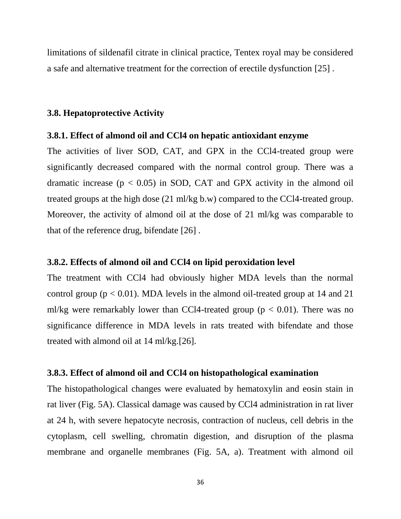limitations of sildenafil citrate in clinical practice, Tentex royal may be considered a safe and alternative treatment for the correction of erectile dysfunction [25] .

#### **3.8. Hepatoprotective Activity**

#### **3.8.1. Effect of almond oil and CCl4 on hepatic antioxidant enzyme**

The activities of liver SOD, CAT, and GPX in the CCl4-treated group were significantly decreased compared with the normal control group. There was a dramatic increase  $(p < 0.05)$  in SOD, CAT and GPX activity in the almond oil treated groups at the high dose (21 ml/kg b.w) compared to the CCl4-treated group. Moreover, the activity of almond oil at the dose of 21 ml/kg was comparable to that of the reference drug, bifendate [26] .

#### **3.8.2. Effects of almond oil and CCl4 on lipid peroxidation level**

The treatment with CCl4 had obviously higher MDA levels than the normal control group ( $p < 0.01$ ). MDA levels in the almond oil-treated group at 14 and 21 ml/kg were remarkably lower than CCl4-treated group ( $p < 0.01$ ). There was no significance difference in MDA levels in rats treated with bifendate and those treated with almond oil at 14 ml/kg.[26].

# **3.8.3. Effect of almond oil and CCl4 on histopathological examination**

The histopathological changes were evaluated by hematoxylin and eosin stain in rat liver (Fig. 5A). Classical damage was caused by CCl4 administration in rat liver at 24 h, with severe hepatocyte necrosis, contraction of nucleus, cell debris in the cytoplasm, cell swelling, chromatin digestion, and disruption of the plasma membrane and organelle membranes (Fig. 5A, a). Treatment with almond oil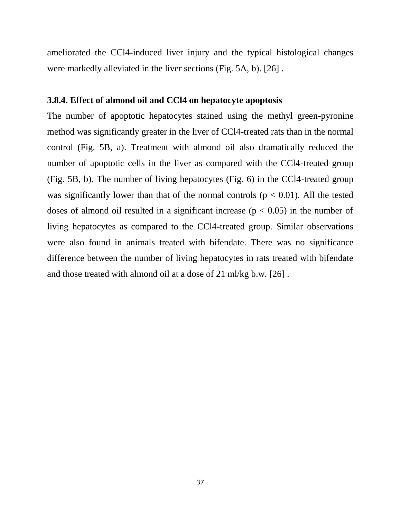ameliorated the CCl4-induced liver injury and the typical histological changes were markedly alleviated in the liver sections (Fig. 5A, b). [26] .

# **3.8.4. Effect of almond oil and CCl4 on hepatocyte apoptosis**

The number of apoptotic hepatocytes stained using the methyl green-pyronine method was significantly greater in the liver of CCl4-treated rats than in the normal control (Fig. 5B, a). Treatment with almond oil also dramatically reduced the number of apoptotic cells in the liver as compared with the CCl4-treated group (Fig. 5B, b). The number of living hepatocytes (Fig. 6) in the CCl4-treated group was significantly lower than that of the normal controls ( $p < 0.01$ ). All the tested doses of almond oil resulted in a significant increase ( $p < 0.05$ ) in the number of living hepatocytes as compared to the CCl4-treated group. Similar observations were also found in animals treated with bifendate. There was no significance difference between the number of living hepatocytes in rats treated with bifendate and those treated with almond oil at a dose of 21 ml/kg b.w. [26] .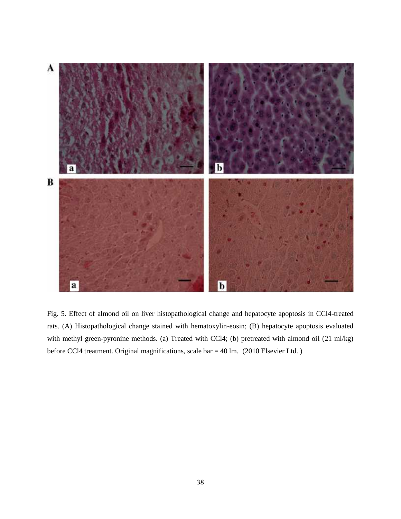

Fig. 5. Effect of almond oil on liver histopathological change and hepatocyte apoptosis in CCl4-treated rats. (A) Histopathological change stained with hematoxylin-eosin; (B) hepatocyte apoptosis evaluated with methyl green-pyronine methods. (a) Treated with CCl4; (b) pretreated with almond oil (21 ml/kg) before CCl4 treatment. Original magnifications, scale bar = 40 lm. (2010 Elsevier Ltd. )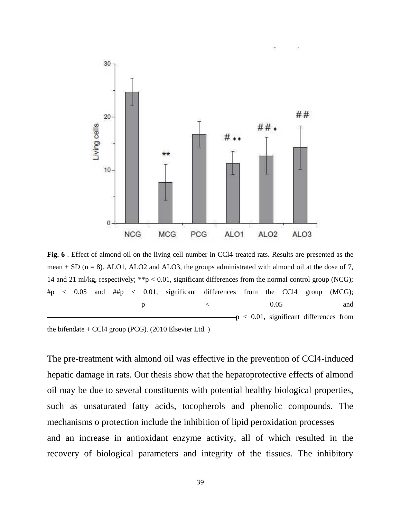

**Fig. 6** . Effect of almond oil on the living cell number in CCl4-treated rats. Results are presented as the mean  $\pm$  SD (n = 8). ALO1, ALO2 and ALO3, the groups administrated with almond oil at the dose of 7, 14 and 21 ml/kg, respectively; \*\*p < 0.01, significant differences from the normal control group (NCG);  $\#p$  < 0.05 and  $\#tp$  < 0.01, significant differences from the CCl4 group (MCG);  $p \sim 0.05$  and p < 0.01, significant differences from

the bifendate  $+$  CCl4 group (PCG). (2010 Elsevier Ltd.)

The pre-treatment with almond oil was effective in the prevention of CCl4-induced hepatic damage in rats. Our thesis show that the hepatoprotective effects of almond oil may be due to several constituents with potential healthy biological properties, such as unsaturated fatty acids, tocopherols and phenolic compounds. The mechanisms o protection include the inhibition of lipid peroxidation processes and an increase in antioxidant enzyme activity, all of which resulted in the recovery of biological parameters and integrity of the tissues. The inhibitory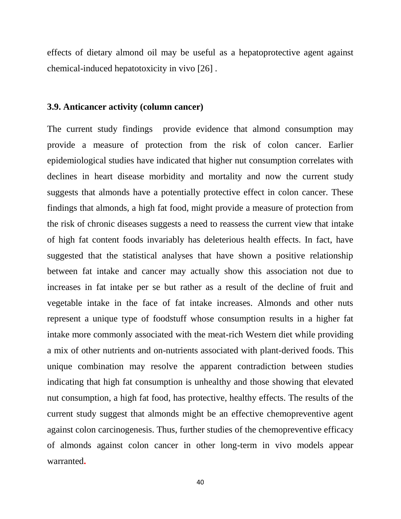effects of dietary almond oil may be useful as a hepatoprotective agent against chemical-induced hepatotoxicity in vivo [26] .

#### **3.9. Anticancer activity (column cancer)**

The current study findings provide evidence that almond consumption may provide a measure of protection from the risk of colon cancer. Earlier epidemiological studies have indicated that higher nut consumption correlates with declines in heart disease morbidity and mortality and now the current study suggests that almonds have a potentially protective effect in colon cancer. These findings that almonds, a high fat food, might provide a measure of protection from the risk of chronic diseases suggests a need to reassess the current view that intake of high fat content foods invariably has deleterious health effects. In fact, have suggested that the statistical analyses that have shown a positive relationship between fat intake and cancer may actually show this association not due to increases in fat intake per se but rather as a result of the decline of fruit and vegetable intake in the face of fat intake increases. Almonds and other nuts represent a unique type of foodstuff whose consumption results in a higher fat intake more commonly associated with the meat-rich Western diet while providing a mix of other nutrients and on-nutrients associated with plant-derived foods. This unique combination may resolve the apparent contradiction between studies indicating that high fat consumption is unhealthy and those showing that elevated nut consumption, a high fat food, has protective, healthy effects. The results of the current study suggest that almonds might be an effective chemopreventive agent against colon carcinogenesis. Thus, further studies of the chemopreventive efficacy of almonds against colon cancer in other long-term in vivo models appear warranted**.**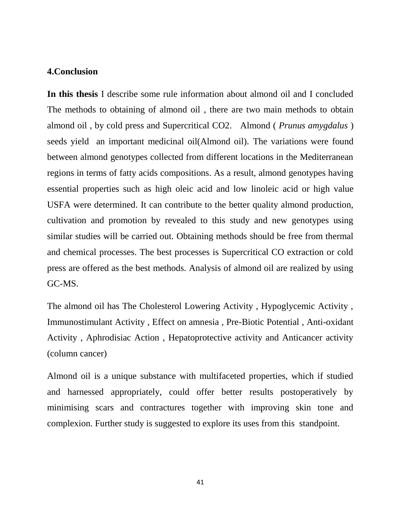#### **4.Conclusion**

**In this thesis** I describe some rule information about almond oil and I concluded The methods to obtaining of almond oil , there are two main methods to obtain almond oil , by cold press and Supercritical CO2. Almond ( *Prunus amygdalus* ) seeds yield an important medicinal oil(Almond oil). The variations were found between almond genotypes collected from different locations in the Mediterranean regions in terms of fatty acids compositions. As a result, almond genotypes having essential properties such as high oleic acid and low linoleic acid or high value USFA were determined. It can contribute to the better quality almond production, cultivation and promotion by revealed to this study and new genotypes using similar studies will be carried out. Obtaining methods should be free from thermal and chemical processes. The best processes is Supercritical CO extraction or cold press are offered as the best methods. Analysis of almond oil are realized by using GC-MS.

The almond oil has The Cholesterol Lowering Activity , Hypoglycemic Activity , Immunostimulant Activity , Effect on amnesia , Pre-Biotic Potential , Anti-oxidant Activity , Aphrodisiac Action , Hepatoprotective activity and Anticancer activity (column cancer)

Almond oil is a unique substance with multifaceted properties, which if studied and harnessed appropriately, could offer better results postoperatively by minimising scars and contractures together with improving skin tone and complexion. Further study is suggested to explore its uses from this standpoint.

41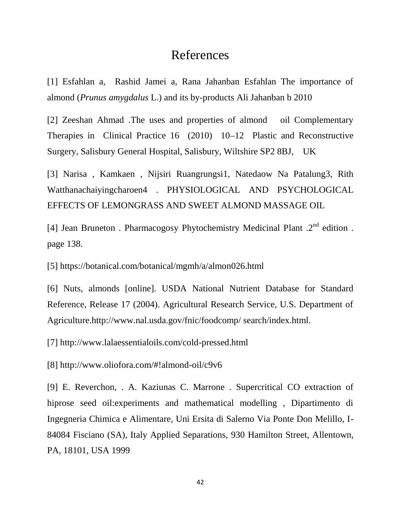# References

[1] Esfahlan a, Rashid Jamei a, Rana Jahanban Esfahlan The importance of almond (*Prunus amygdalus* L.) and its by-products Ali Jahanban b 2010

[2] Zeeshan Ahmad .The uses and properties of almond oil Complementary Therapies in Clinical Practice 16 (2010) 10–12 Plastic and Reconstructive Surgery, Salisbury General Hospital, Salisbury, Wiltshire SP2 8BJ, UK

[3] Narisa , Kamkaen , Nijsiri Ruangrungsi1, Natedaow Na Patalung3, Rith Watthanachaiyingcharoen4 . PHYSIOLOGICAL AND PSYCHOLOGICAL EFFECTS OF LEMONGRASS AND SWEET ALMOND MASSAGE OIL

[4] Jean Bruneton . Pharmacogosy Phytochemistry Medicinal Plant  $.2<sup>nd</sup>$  edition . page 138.

[5] https://botanical.com/botanical/mgmh/a/almon026.html

[6] Nuts, almonds [online]. USDA National Nutrient Database for Standard Reference, Release 17 (2004). Agricultural Research Service, U.S. Department of Agriculture.http://www.nal.usda.gov/fnic/foodcomp/ search/index.html.

[7] http://www.lalaessentialoils.com/cold-pressed.html

[8] http://www.oliofora.com/#!almond-oil/c9v6

[9] E. Reverchon, . A. Kaziunas C. Marrone . Supercritical CO extraction of hiprose seed oil:experiments and mathematical modelling , Dipartimento di Ingegneria Chimica e Alimentare, Uni Ersita di Salerno Via Ponte Don Melillo, I- 84084 Fisciano (SA), Italy Applied Separations, 930 Hamilton Street, Allentown, PA, 18101, USA 1999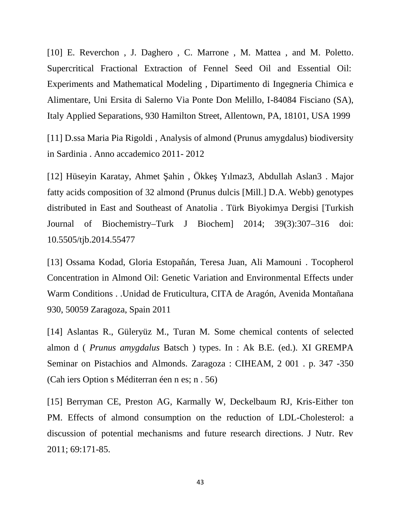[10] E. Reverchon , J. Daghero , C. Marrone , M. Mattea , and M. Poletto. Supercritical Fractional Extraction of Fennel Seed Oil and Essential Oil: Experiments and Mathematical Modeling , Dipartimento di Ingegneria Chimica e Alimentare, Uni Ersita di Salerno Via Ponte Don Melillo, I-84084 Fisciano (SA), Italy Applied Separations, 930 Hamilton Street, Allentown, PA, 18101, USA 1999

[11] D.ssa Maria Pia Rigoldi , Analysis of almond (Prunus amygdalus) biodiversity in Sardinia . Anno accademico 2011- 2012

[12] Hüseyin Karatay, Ahmet ahin, Ökke Yılmaz3, Abdullah Aslan3 . Major fatty acids composition of 32 almond (Prunus dulcis [Mill.] D.A. Webb) genotypes distributed in East and Southeast of Anatolia . Türk Biyokimya Dergisi [Turkish Journal of Biochemistry–Turk J Biochem] 2014; 39(3):307–316 doi: 10.5505/tjb.2014.55477

[13] Ossama Kodad, Gloria Estopañán, Teresa Juan, Ali Mamouni . Tocopherol Concentration in Almond Oil: Genetic Variation and Environmental Effects under Warm Conditions . .Unidad de Fruticultura, CITA de Aragón, Avenida Montañana 930, 50059 Zaragoza, Spain 2011

[14] Aslantas R., Güleryüz M., Turan M. Some chemical contents of selected almon d ( *Prunus amygdalus* Batsch ) types. In : Ak B.E. (ed.). XI GREMPA Seminar on Pistachios and Almonds. Zaragoza : CIHEAM, 2 001 . p. 347 -350 (Cah iers Option s Méditerran éen n es; n . 56)

[15] Berryman CE, Preston AG, Karmally W, Deckelbaum RJ, Kris-Either ton PM. Effects of almond consumption on the reduction of LDL-Cholesterol: a discussion of potential mechanisms and future research directions. J Nutr. Rev 2011; 69:171-85.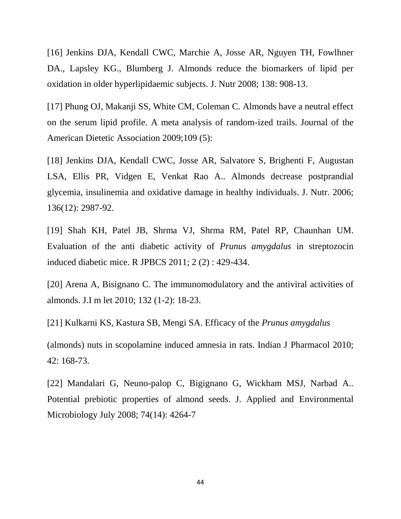[16] Jenkins DJA, Kendall CWC, Marchie A, Josse AR, Nguyen TH, Fowlhner DA., Lapsley KG., Blumberg J. Almonds reduce the biomarkers of lipid per oxidation in older hyperlipidaemic subjects. J. Nutr 2008; 138: 908-13.

[17] Phung OJ, Makanji SS, White CM, Coleman C. Almonds have a neutral effect on the serum lipid profile. A meta analysis of random-ized trails. Journal of the American Dietetic Association 2009;109 (5):

[18] Jenkins DJA, Kendall CWC, Josse AR, Salvatore S, Brighenti F, Augustan LSA, Ellis PR, Vidgen E, Venkat Rao A.. Almonds decrease postprandial glycemia, insulinemia and oxidative damage in healthy individuals. J. Nutr. 2006; 136(12): 2987-92.

[19] Shah KH, Patel JB, Shrma VJ, Shrma RM, Patel RP, Chaunhan UM. Evaluation of the anti diabetic activity of *Prunus amygdalus* in streptozocin induced diabetic mice. R JPBCS 2011; 2 (2) : 429-434.

[20] Arena A, Bisignano C. The immunomodulatory and the antiviral activities of almonds. J.I m let 2010; 132 (1-2): 18-23.

[21] Kulkarni KS, Kastura SB, Mengi SA. Efficacy of the *Prunus amygdalus*

(almonds) nuts in scopolamine induced amnesia in rats. Indian J Pharmacol 2010; 42: 168-73.

[22] Mandalari G, Neuno-palop C, Bigignano G, Wickham MSJ, Narbad A.. Potential prebiotic properties of almond seeds. J. Applied and Environmental Microbiology July 2008; 74(14): 4264-7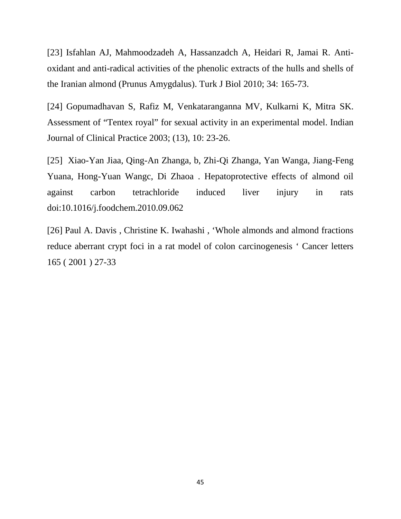[23] Isfahlan AJ, Mahmoodzadeh A, Hassanzadch A, Heidari R, Jamai R. Anti oxidant and anti-radical activities of the phenolic extracts of the hulls and shells of the Iranian almond (Prunus Amygdalus). Turk J Biol 2010; 34: 165-73.

[24] Gopumadhavan S, Rafiz M, Venkataranganna MV, Kulkarni K, Mitra SK. Assessment of "Tentex royal" for sexual activity in an experimental model. Indian Journal of Clinical Practice 2003; (13), 10: 23-26.

[25] Xiao-Yan Jiaa, Qing-An Zhanga, b, Zhi-Qi Zhanga, Yan Wanga, Jiang-Feng Yuana, Hong-Yuan Wangc, Di Zhaoa . Hepatoprotective effects of almond oil against carbon tetrachloride induced liver injury in rats doi:10.1016/j.foodchem.2010.09.062

[26] Paul A. Davis, Christine K. Iwahashi, 'Whole almonds and almond fractions reduce aberrant crypt foci in a rat model of colon carcinogenesis ' Cancer letters 165 ( 2001 ) 27-33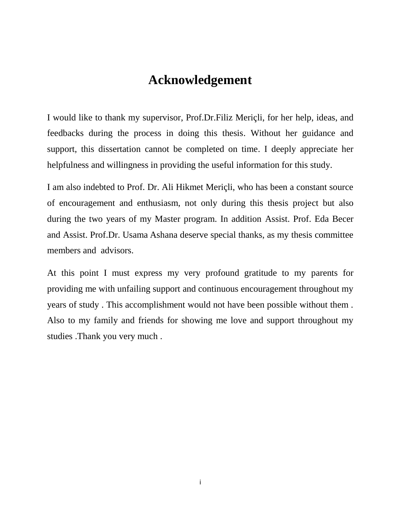# **Acknowledgement**

I would like to thank my supervisor, Prof.Dr.Filiz Meriçli, for her help, ideas, and feedbacks during the process in doing this thesis. Without her guidance and support, this dissertation cannot be completed on time. I deeply appreciate her helpfulness and willingness in providing the useful information for this study.

I am also indebted to Prof. Dr. Ali Hikmet Meriçli, who has been a constant source of encouragement and enthusiasm, not only during this thesis project but also during the two years of my Master program. In addition Assist. Prof. Eda Becer and Assist. Prof.Dr. Usama Ashana deserve special thanks, as my thesis committee members and advisors.

At this point I must express my very profound gratitude to my parents for providing me with unfailing support and continuous encouragement throughout my years of study . This accomplishment would not have been possible without them . Also to my family and friends for showing me love and support throughout my studies .Thank you very much .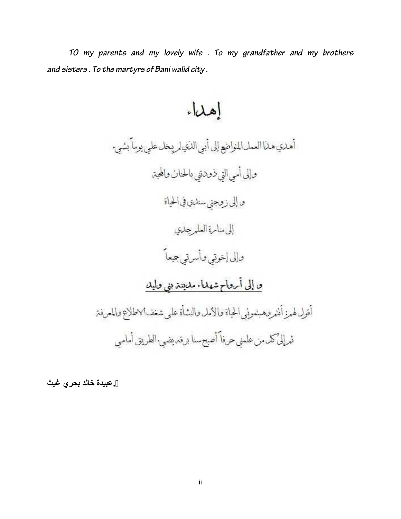*TO my parents and my lovely wife . To my grandfather and my brothers and sisters . To the martyrs of Bani walid city .*

إهلاء

أهلكي هلأ العمل المنواضع إلى أبي اللذي لمريبخل على يوماً بشين وإلى أمى التي ذودنني بالحنان والمحتر و إلى زوجتي سندي في الحياة إلى مناسرة العلمرجلي وإلى إخوتي وأسرتي جيعاً ق إلى أرقاح شهلنا مليتين بني قاليلا أقول لهرز أننر وهبنموني الحياة والامل والنشأة على شغف الاطلاع والمعرفة ثعرإلى كلءمن علمني حرفاً أصبح سنا برقد يضي الطريق أمامي

**.عبیدة خالد بحري غیث**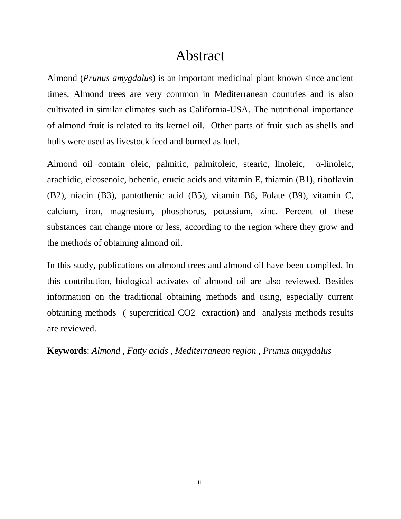# Abstract

Almond (*Prunus amygdalus*) is an important medicinal plant known since ancient times. Almond trees are very common in Mediterranean countries and is also cultivated in similar climates such as California-USA. The nutritional importance of almond fruit is related to its kernel oil. Other parts of fruit such as shells and hulls were used as livestock feed and burned as fuel.

Almond oil contain oleic, palmitic, palmitoleic, stearic, linoleic, -linoleic, arachidic, eicosenoic, behenic, erucic acids and vitamin E, thiamin (B1), riboflavin (B2), niacin (B3), pantothenic acid (B5), vitamin B6, Folate (B9), vitamin C, calcium, iron, magnesium, phosphorus, potassium, zinc. Percent of these substances can change more or less, according to the region where they grow and the methods of obtaining almond oil.

In this study, publications on almond trees and almond oil have been compiled. In this contribution, biological activates of almond oil are also reviewed. Besides information on the traditional obtaining methods and using, especially current obtaining methods ( supercritical CO2 exraction) and analysis methods results are reviewed.

**Keywords**: *Almond , Fatty acids , Mediterranean region , Prunus amygdalus*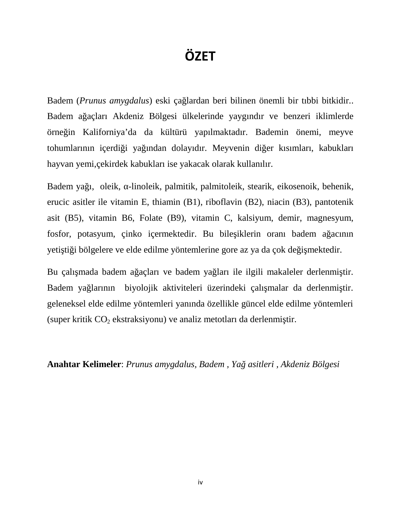# **ÖZET**

Badem (*Prunus amygdalus*) eski çağlardan beri bilinen önemli bir tıbbi bitkidir.. Badem a açları Akdeniz Bölgesi ülkelerinde yaygındır ve benzeri iklimlerde örneğin Kaliforniya'da da kültürü yapılmaktadır. Bademin önemi, meyve tohumlarının içerdi i ya ından dolayıdır. Meyvenin di er kısımları, kabukları hayvan yemi,çekirdek kabukları ise yakacak olarak kullanılır.

Badem ya 1, oleik, -linoleik, palmitik, palmitoleik, stearik, eikosenoik, behenik, erucic asitler ile vitamin E, thiamin (B1), riboflavin (B2), niacin (B3), pantotenik asit (B5), vitamin B6, Folate (B9), vitamin C, kalsiyum, demir, magnesyum, fosfor, potasyum, çinko içermektedir. Bu bile iklerin oranı badem a acının yeti ti i bölgelere ve elde edilme yöntemlerine gore az ya da çok de i mektedir.

Bu çalı mada badem a açları ve badem ya ları ile ilgili makaleler derlenmi tir. Badem ya larının biyolojik aktiviteleri üzerindeki çalı malar da derlenmi tir. geleneksel elde edilme yöntemleri yanında özellikle güncel elde edilme yöntemleri (super kritik  $CO<sub>2</sub>$  ekstraksiyonu) ve analiz metotları da derlenmi tir.

**Anahtar Kelimeler**: *Prunus amygdalus, Badem , Yağ asitleri , Akdeniz Bölgesi*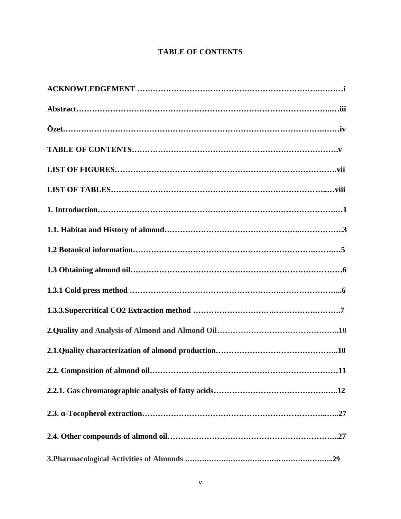# **TABLE OF CONTENTS**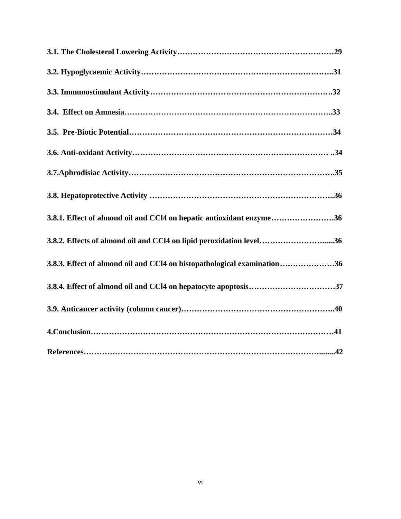| 3.8.1. Effect of almond oil and CCl4 on hepatic antioxidant enzyme36    |  |
|-------------------------------------------------------------------------|--|
| 3.8.2. Effects of almond oil and CCl4 on lipid peroxidation level36     |  |
| 3.8.3. Effect of almond oil and CCl4 on histopathological examination36 |  |
|                                                                         |  |
|                                                                         |  |
|                                                                         |  |
|                                                                         |  |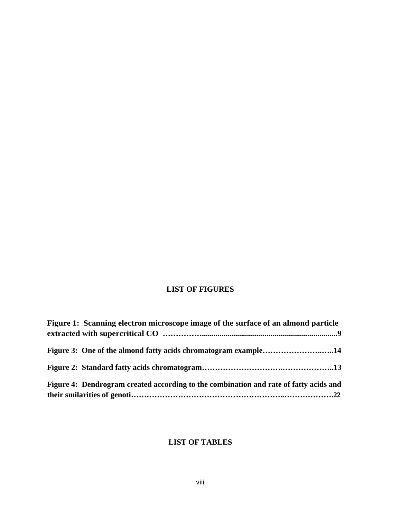# **LIST OF FIGURES**

| Figure 1: Scanning electron microscope image of the surface of an almond particle     |  |
|---------------------------------------------------------------------------------------|--|
|                                                                                       |  |
| Figure 3: One of the almond fatty acids chromatogram example14                        |  |
|                                                                                       |  |
| Figure 4: Dendrogram created according to the combination and rate of fatty acids and |  |
|                                                                                       |  |

# **LIST OF TABLES**